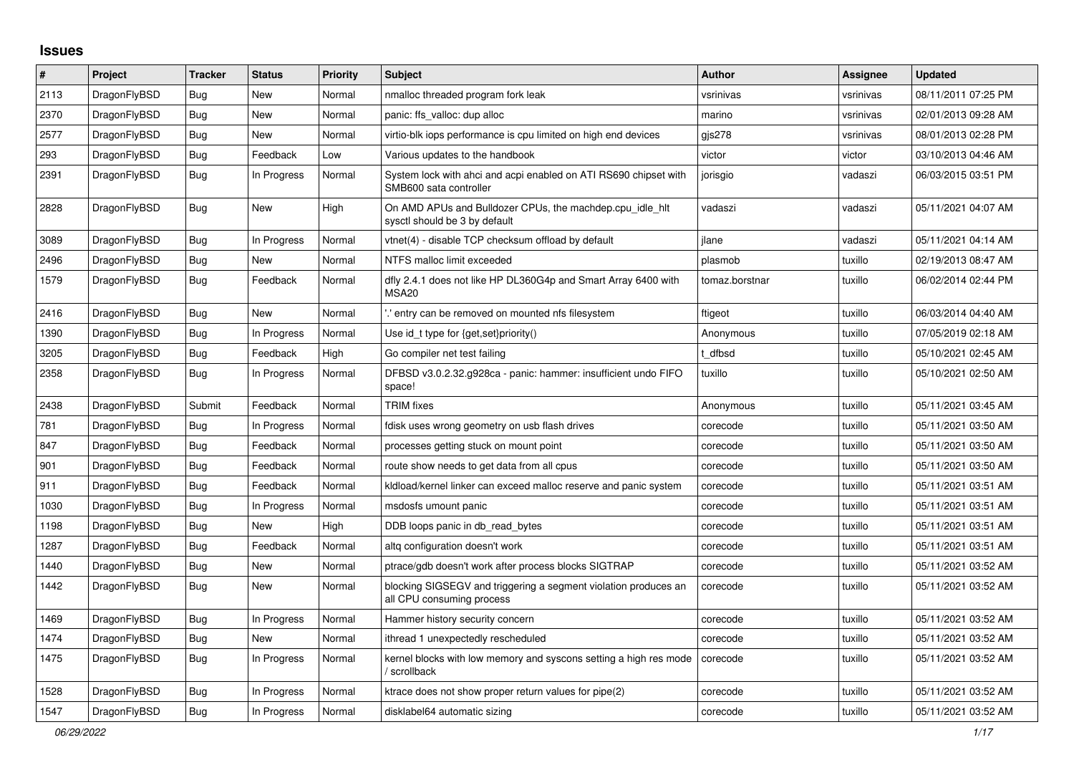## **Issues**

| $\#$ | Project      | <b>Tracker</b> | <b>Status</b> | <b>Priority</b> | <b>Subject</b>                                                                               | <b>Author</b>  | Assignee  | Updated             |
|------|--------------|----------------|---------------|-----------------|----------------------------------------------------------------------------------------------|----------------|-----------|---------------------|
| 2113 | DragonFlyBSD | Bug            | New           | Normal          | nmalloc threaded program fork leak                                                           | vsrinivas      | vsrinivas | 08/11/2011 07:25 PM |
| 2370 | DragonFlyBSD | Bug            | New           | Normal          | panic: ffs valloc: dup alloc                                                                 | marino         | vsrinivas | 02/01/2013 09:28 AM |
| 2577 | DragonFlyBSD | <b>Bug</b>     | New           | Normal          | virtio-blk iops performance is cpu limited on high end devices                               | gjs278         | vsrinivas | 08/01/2013 02:28 PM |
| 293  | DragonFlyBSD | Bug            | Feedback      | Low             | Various updates to the handbook                                                              | victor         | victor    | 03/10/2013 04:46 AM |
| 2391 | DragonFlyBSD | <b>Bug</b>     | In Progress   | Normal          | System lock with ahci and acpi enabled on ATI RS690 chipset with<br>SMB600 sata controller   | jorisgio       | vadaszi   | 06/03/2015 03:51 PM |
| 2828 | DragonFlyBSD | <b>Bug</b>     | New           | High            | On AMD APUs and Bulldozer CPUs, the machdep.cpu idle hit<br>sysctl should be 3 by default    | vadaszi        | vadaszi   | 05/11/2021 04:07 AM |
| 3089 | DragonFlyBSD | <b>Bug</b>     | In Progress   | Normal          | vtnet(4) - disable TCP checksum offload by default                                           | ilane          | vadaszi   | 05/11/2021 04:14 AM |
| 2496 | DragonFlyBSD | Bug            | New           | Normal          | NTFS malloc limit exceeded                                                                   | plasmob        | tuxillo   | 02/19/2013 08:47 AM |
| 1579 | DragonFlyBSD | Bug            | Feedback      | Normal          | dfly 2.4.1 does not like HP DL360G4p and Smart Array 6400 with<br>MSA <sub>20</sub>          | tomaz.borstnar | tuxillo   | 06/02/2014 02:44 PM |
| 2416 | DragonFlyBSD | <b>Bug</b>     | New           | Normal          | ".' entry can be removed on mounted nfs filesystem                                           | ftigeot        | tuxillo   | 06/03/2014 04:40 AM |
| 1390 | DragonFlyBSD | Bug            | In Progress   | Normal          | Use id_t type for {get, set}priority()                                                       | Anonymous      | tuxillo   | 07/05/2019 02:18 AM |
| 3205 | DragonFlyBSD | Bug            | Feedback      | High            | Go compiler net test failing                                                                 | t dfbsd        | tuxillo   | 05/10/2021 02:45 AM |
| 2358 | DragonFlyBSD | Bug            | In Progress   | Normal          | DFBSD v3.0.2.32.g928ca - panic: hammer: insufficient undo FIFO<br>space!                     | tuxillo        | tuxillo   | 05/10/2021 02:50 AM |
| 2438 | DragonFlyBSD | Submit         | Feedback      | Normal          | <b>TRIM</b> fixes                                                                            | Anonymous      | tuxillo   | 05/11/2021 03:45 AM |
| 781  | DragonFlyBSD | Bug            | In Progress   | Normal          | fdisk uses wrong geometry on usb flash drives                                                | corecode       | tuxillo   | 05/11/2021 03:50 AM |
| 847  | DragonFlyBSD | <b>Bug</b>     | Feedback      | Normal          | processes getting stuck on mount point                                                       | corecode       | tuxillo   | 05/11/2021 03:50 AM |
| 901  | DragonFlyBSD | <b>Bug</b>     | Feedback      | Normal          | route show needs to get data from all cpus                                                   | corecode       | tuxillo   | 05/11/2021 03:50 AM |
| 911  | DragonFlyBSD | <b>Bug</b>     | Feedback      | Normal          | kldload/kernel linker can exceed malloc reserve and panic system                             | corecode       | tuxillo   | 05/11/2021 03:51 AM |
| 1030 | DragonFlyBSD | Bug            | In Progress   | Normal          | msdosfs umount panic                                                                         | corecode       | tuxillo   | 05/11/2021 03:51 AM |
| 1198 | DragonFlyBSD | Bug            | <b>New</b>    | High            | DDB loops panic in db read bytes                                                             | corecode       | tuxillo   | 05/11/2021 03:51 AM |
| 1287 | DragonFlyBSD | Bug            | Feedback      | Normal          | altg configuration doesn't work                                                              | corecode       | tuxillo   | 05/11/2021 03:51 AM |
| 1440 | DragonFlyBSD | Bug            | <b>New</b>    | Normal          | ptrace/gdb doesn't work after process blocks SIGTRAP                                         | corecode       | tuxillo   | 05/11/2021 03:52 AM |
| 1442 | DragonFlyBSD | Bug            | New           | Normal          | blocking SIGSEGV and triggering a segment violation produces an<br>all CPU consuming process | corecode       | tuxillo   | 05/11/2021 03:52 AM |
| 1469 | DragonFlyBSD | Bug            | In Progress   | Normal          | Hammer history security concern                                                              | corecode       | tuxillo   | 05/11/2021 03:52 AM |
| 1474 | DragonFlyBSD | <b>Bug</b>     | New           | Normal          | ithread 1 unexpectedly rescheduled                                                           | corecode       | tuxillo   | 05/11/2021 03:52 AM |
| 1475 | DragonFlyBSD | Bug            | In Progress   | Normal          | kernel blocks with low memory and syscons setting a high res mode<br>/ scrollback            | corecode       | tuxillo   | 05/11/2021 03:52 AM |
| 1528 | DragonFlyBSD | <b>Bug</b>     | In Progress   | Normal          | ktrace does not show proper return values for pipe(2)                                        | corecode       | tuxillo   | 05/11/2021 03:52 AM |
| 1547 | DragonFlyBSD | Bug            | In Progress   | Normal          | disklabel64 automatic sizing                                                                 | corecode       | tuxillo   | 05/11/2021 03:52 AM |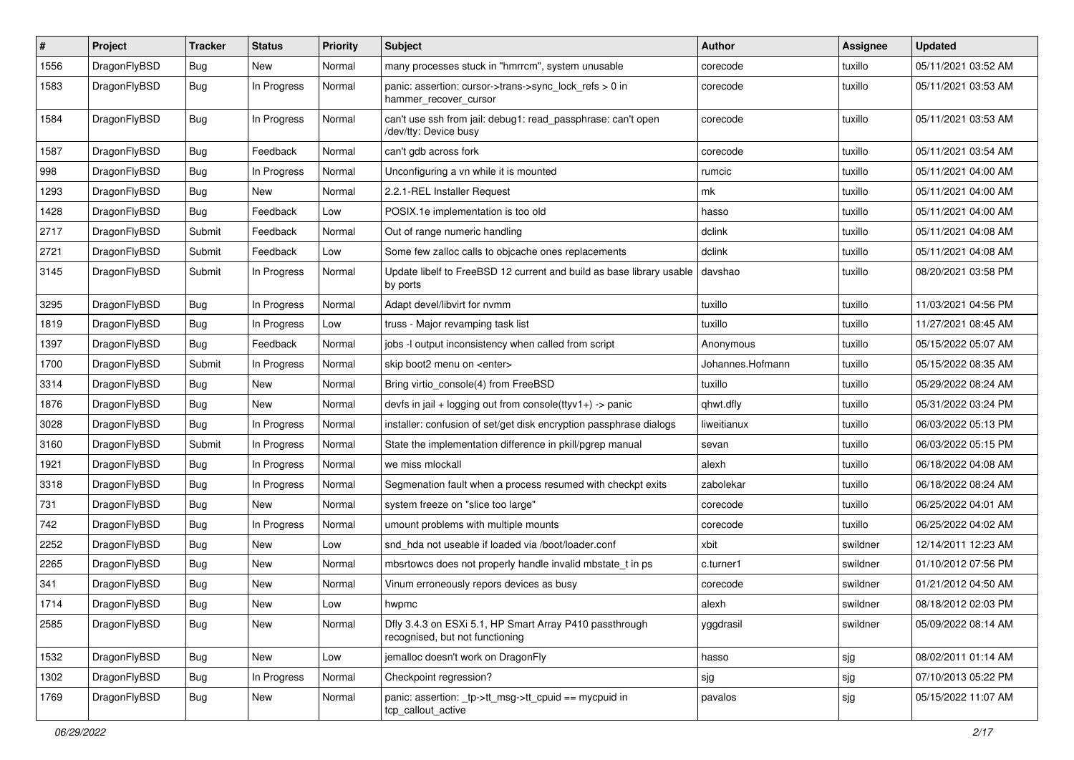| ∦    | Project      | <b>Tracker</b> | <b>Status</b> | <b>Priority</b> | <b>Subject</b>                                                                             | <b>Author</b>    | <b>Assignee</b> | <b>Updated</b>      |
|------|--------------|----------------|---------------|-----------------|--------------------------------------------------------------------------------------------|------------------|-----------------|---------------------|
| 1556 | DragonFlyBSD | <b>Bug</b>     | New           | Normal          | many processes stuck in "hmrrcm", system unusable                                          | corecode         | tuxillo         | 05/11/2021 03:52 AM |
| 1583 | DragonFlyBSD | Bug            | In Progress   | Normal          | panic: assertion: cursor->trans->sync_lock_refs > 0 in<br>hammer recover cursor            | corecode         | tuxillo         | 05/11/2021 03:53 AM |
| 1584 | DragonFlyBSD | Bug            | In Progress   | Normal          | can't use ssh from jail: debug1: read passphrase: can't open<br>/dev/tty: Device busy      | corecode         | tuxillo         | 05/11/2021 03:53 AM |
| 1587 | DragonFlyBSD | <b>Bug</b>     | Feedback      | Normal          | can't gdb across fork                                                                      | corecode         | tuxillo         | 05/11/2021 03:54 AM |
| 998  | DragonFlyBSD | Bug            | In Progress   | Normal          | Unconfiguring a vn while it is mounted                                                     | rumcic           | tuxillo         | 05/11/2021 04:00 AM |
| 1293 | DragonFlyBSD | <b>Bug</b>     | New           | Normal          | 2.2.1-REL Installer Request                                                                | mk               | tuxillo         | 05/11/2021 04:00 AM |
| 1428 | DragonFlyBSD | Bug            | Feedback      | Low             | POSIX.1e implementation is too old                                                         | hasso            | tuxillo         | 05/11/2021 04:00 AM |
| 2717 | DragonFlyBSD | Submit         | Feedback      | Normal          | Out of range numeric handling                                                              | dclink           | tuxillo         | 05/11/2021 04:08 AM |
| 2721 | DragonFlyBSD | Submit         | Feedback      | Low             | Some few zalloc calls to objcache ones replacements                                        | dclink           | tuxillo         | 05/11/2021 04:08 AM |
| 3145 | DragonFlyBSD | Submit         | In Progress   | Normal          | Update libelf to FreeBSD 12 current and build as base library usable<br>by ports           | davshao          | tuxillo         | 08/20/2021 03:58 PM |
| 3295 | DragonFlyBSD | Bug            | In Progress   | Normal          | Adapt devel/libvirt for nvmm                                                               | tuxillo          | tuxillo         | 11/03/2021 04:56 PM |
| 1819 | DragonFlyBSD | Bug            | In Progress   | Low             | truss - Major revamping task list                                                          | tuxillo          | tuxillo         | 11/27/2021 08:45 AM |
| 1397 | DragonFlyBSD | <b>Bug</b>     | Feedback      | Normal          | jobs -I output inconsistency when called from script                                       | Anonymous        | tuxillo         | 05/15/2022 05:07 AM |
| 1700 | DragonFlyBSD | Submit         | In Progress   | Normal          | skip boot2 menu on <enter></enter>                                                         | Johannes.Hofmann | tuxillo         | 05/15/2022 08:35 AM |
| 3314 | DragonFlyBSD | <b>Bug</b>     | New           | Normal          | Bring virtio_console(4) from FreeBSD                                                       | tuxillo          | tuxillo         | 05/29/2022 08:24 AM |
| 1876 | DragonFlyBSD | Bug            | New           | Normal          | devfs in jail + logging out from console(ttyv1+) -> panic                                  | qhwt.dfly        | tuxillo         | 05/31/2022 03:24 PM |
| 3028 | DragonFlyBSD | Bug            | In Progress   | Normal          | installer: confusion of set/get disk encryption passphrase dialogs                         | liweitianux      | tuxillo         | 06/03/2022 05:13 PM |
| 3160 | DragonFlyBSD | Submit         | In Progress   | Normal          | State the implementation difference in pkill/pgrep manual                                  | sevan            | tuxillo         | 06/03/2022 05:15 PM |
| 1921 | DragonFlyBSD | Bug            | In Progress   | Normal          | we miss mlockall                                                                           | alexh            | tuxillo         | 06/18/2022 04:08 AM |
| 3318 | DragonFlyBSD | <b>Bug</b>     | In Progress   | Normal          | Segmenation fault when a process resumed with checkpt exits                                | zabolekar        | tuxillo         | 06/18/2022 08:24 AM |
| 731  | DragonFlyBSD | <b>Bug</b>     | New           | Normal          | system freeze on "slice too large"                                                         | corecode         | tuxillo         | 06/25/2022 04:01 AM |
| 742  | DragonFlyBSD | Bug            | In Progress   | Normal          | umount problems with multiple mounts                                                       | corecode         | tuxillo         | 06/25/2022 04:02 AM |
| 2252 | DragonFlyBSD | Bug            | <b>New</b>    | Low             | snd hda not useable if loaded via /boot/loader.conf                                        | xbit             | swildner        | 12/14/2011 12:23 AM |
| 2265 | DragonFlyBSD | <b>Bug</b>     | New           | Normal          | mbsrtowcs does not properly handle invalid mbstate_t in ps                                 | c.turner1        | swildner        | 01/10/2012 07:56 PM |
| 341  | DragonFlyBSD | Bug            | New           | Normal          | Vinum erroneously repors devices as busy                                                   | corecode         | swildner        | 01/21/2012 04:50 AM |
| 1714 | DragonFlyBSD | Bug            | New           | Low             | hwpmc                                                                                      | alexh            | swildner        | 08/18/2012 02:03 PM |
| 2585 | DragonFlyBSD | Bug            | New           | Normal          | Dfly 3.4.3 on ESXi 5.1, HP Smart Array P410 passthrough<br>recognised, but not functioning | yggdrasil        | swildner        | 05/09/2022 08:14 AM |
| 1532 | DragonFlyBSD | <b>Bug</b>     | New           | Low             | jemalloc doesn't work on DragonFly                                                         | hasso            | sjg             | 08/02/2011 01:14 AM |
| 1302 | DragonFlyBSD | Bug            | In Progress   | Normal          | Checkpoint regression?                                                                     | sjg              | sjg             | 07/10/2013 05:22 PM |
| 1769 | DragonFlyBSD | Bug            | New           | Normal          | panic: assertion: _tp->tt_msg->tt_cpuid == mycpuid in<br>tcp callout active                | pavalos          | sjg             | 05/15/2022 11:07 AM |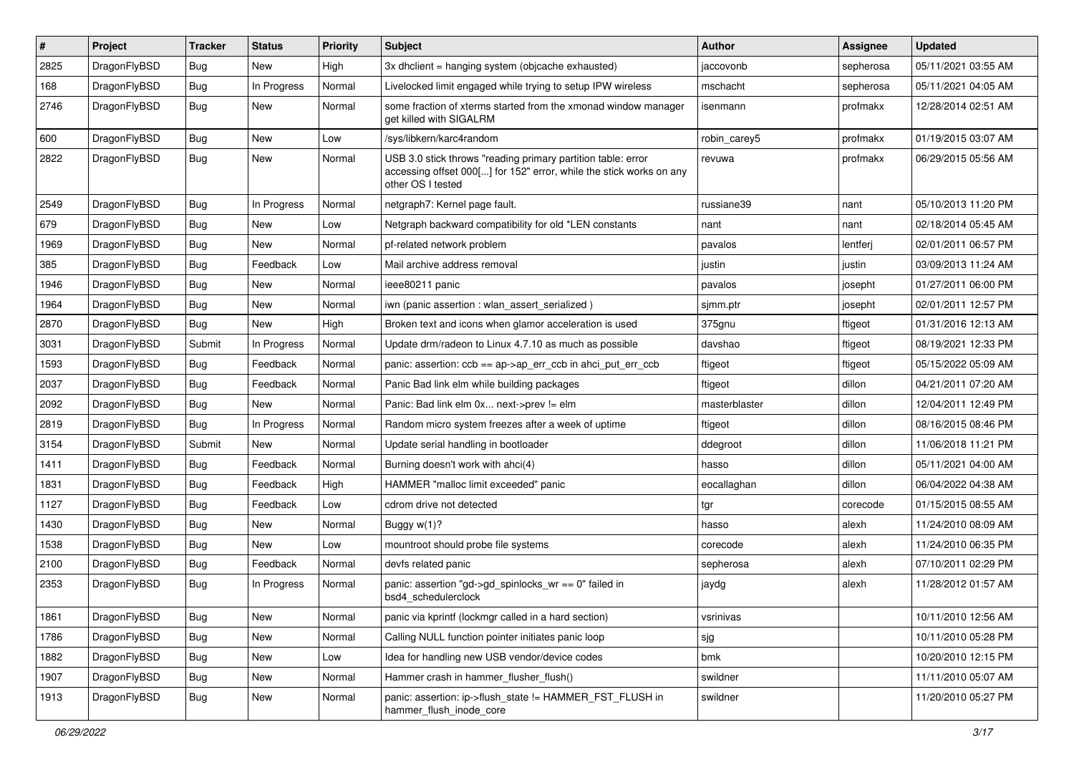| $\vert$ # | Project      | <b>Tracker</b> | <b>Status</b> | <b>Priority</b> | <b>Subject</b>                                                                                                                                           | <b>Author</b> | Assignee  | <b>Updated</b>      |
|-----------|--------------|----------------|---------------|-----------------|----------------------------------------------------------------------------------------------------------------------------------------------------------|---------------|-----------|---------------------|
| 2825      | DragonFlyBSD | Bug            | <b>New</b>    | High            | 3x dhclient = hanging system (objcache exhausted)                                                                                                        | jaccovonb     | sepherosa | 05/11/2021 03:55 AM |
| 168       | DragonFlyBSD | <b>Bug</b>     | In Progress   | Normal          | Livelocked limit engaged while trying to setup IPW wireless                                                                                              | mschacht      | sepherosa | 05/11/2021 04:05 AM |
| 2746      | DragonFlyBSD | <b>Bug</b>     | <b>New</b>    | Normal          | some fraction of xterms started from the xmonad window manager<br>get killed with SIGALRM                                                                | isenmann      | profmakx  | 12/28/2014 02:51 AM |
| 600       | DragonFlyBSD | <b>Bug</b>     | <b>New</b>    | Low             | /sys/libkern/karc4random                                                                                                                                 | robin_carey5  | profmakx  | 01/19/2015 03:07 AM |
| 2822      | DragonFlyBSD | <b>Bug</b>     | New           | Normal          | USB 3.0 stick throws "reading primary partition table: error<br>accessing offset 000[] for 152" error, while the stick works on any<br>other OS I tested | revuwa        | profmakx  | 06/29/2015 05:56 AM |
| 2549      | DragonFlyBSD | <b>Bug</b>     | In Progress   | Normal          | netgraph7: Kernel page fault.                                                                                                                            | russiane39    | nant      | 05/10/2013 11:20 PM |
| 679       | DragonFlyBSD | <b>Bug</b>     | <b>New</b>    | Low             | Netgraph backward compatibility for old *LEN constants                                                                                                   | nant          | nant      | 02/18/2014 05:45 AM |
| 1969      | DragonFlyBSD | <b>Bug</b>     | New           | Normal          | pf-related network problem                                                                                                                               | pavalos       | lentferj  | 02/01/2011 06:57 PM |
| 385       | DragonFlyBSD | <b>Bug</b>     | Feedback      | Low             | Mail archive address removal                                                                                                                             | justin        | justin    | 03/09/2013 11:24 AM |
| 1946      | DragonFlyBSD | <b>Bug</b>     | <b>New</b>    | Normal          | ieee80211 panic                                                                                                                                          | pavalos       | josepht   | 01/27/2011 06:00 PM |
| 1964      | DragonFlyBSD | <b>Bug</b>     | New           | Normal          | iwn (panic assertion : wlan assert serialized)                                                                                                           | sjmm.ptr      | josepht   | 02/01/2011 12:57 PM |
| 2870      | DragonFlyBSD | Bug            | <b>New</b>    | High            | Broken text and icons when glamor acceleration is used                                                                                                   | 375gnu        | ftigeot   | 01/31/2016 12:13 AM |
| 3031      | DragonFlyBSD | Submit         | In Progress   | Normal          | Update drm/radeon to Linux 4.7.10 as much as possible                                                                                                    | davshao       | ftigeot   | 08/19/2021 12:33 PM |
| 1593      | DragonFlyBSD | Bug            | Feedback      | Normal          | panic: assertion: $ccb == ap \rightarrow ap$ err $ccb$ in ahci put err $ccb$                                                                             | ftigeot       | ftigeot   | 05/15/2022 05:09 AM |
| 2037      | DragonFlyBSD | Bug            | Feedback      | Normal          | Panic Bad link elm while building packages                                                                                                               | ftigeot       | dillon    | 04/21/2011 07:20 AM |
| 2092      | DragonFlyBSD | <b>Bug</b>     | New           | Normal          | Panic: Bad link elm 0x next->prev != elm                                                                                                                 | masterblaster | dillon    | 12/04/2011 12:49 PM |
| 2819      | DragonFlyBSD | Bug            | In Progress   | Normal          | Random micro system freezes after a week of uptime                                                                                                       | ftigeot       | dillon    | 08/16/2015 08:46 PM |
| 3154      | DragonFlyBSD | Submit         | New           | Normal          | Update serial handling in bootloader                                                                                                                     | ddegroot      | dillon    | 11/06/2018 11:21 PM |
| 1411      | DragonFlyBSD | Bug            | Feedback      | Normal          | Burning doesn't work with ahci(4)                                                                                                                        | hasso         | dillon    | 05/11/2021 04:00 AM |
| 1831      | DragonFlyBSD | <b>Bug</b>     | Feedback      | High            | HAMMER "malloc limit exceeded" panic                                                                                                                     | eocallaghan   | dillon    | 06/04/2022 04:38 AM |
| 1127      | DragonFlyBSD | <b>Bug</b>     | Feedback      | Low             | cdrom drive not detected                                                                                                                                 | tgr           | corecode  | 01/15/2015 08:55 AM |
| 1430      | DragonFlyBSD | <b>Bug</b>     | <b>New</b>    | Normal          | Buggy w(1)?                                                                                                                                              | hasso         | alexh     | 11/24/2010 08:09 AM |
| 1538      | DragonFlyBSD | <b>Bug</b>     | <b>New</b>    | Low             | mountroot should probe file systems                                                                                                                      | corecode      | alexh     | 11/24/2010 06:35 PM |
| 2100      | DragonFlyBSD | <b>Bug</b>     | Feedback      | Normal          | devfs related panic                                                                                                                                      | sepherosa     | alexh     | 07/10/2011 02:29 PM |
| 2353      | DragonFlyBSD | Bug            | In Progress   | Normal          | panic: assertion "gd->gd_spinlocks_wr == 0" failed in<br>bsd4 schedulerclock                                                                             | jaydg         | alexh     | 11/28/2012 01:57 AM |
| 1861      | DragonFlyBSD | <b>Bug</b>     | New           | Normal          | panic via kprintf (lockmgr called in a hard section)                                                                                                     | vsrinivas     |           | 10/11/2010 12:56 AM |
| 1786      | DragonFlyBSD | <b>Bug</b>     | New           | Normal          | Calling NULL function pointer initiates panic loop                                                                                                       | sjg           |           | 10/11/2010 05:28 PM |
| 1882      | DragonFlyBSD | <b>Bug</b>     | New           | Low             | Idea for handling new USB vendor/device codes                                                                                                            | bmk           |           | 10/20/2010 12:15 PM |
| 1907      | DragonFlyBSD | Bug            | New           | Normal          | Hammer crash in hammer_flusher_flush()                                                                                                                   | swildner      |           | 11/11/2010 05:07 AM |
| 1913      | DragonFlyBSD | <b>Bug</b>     | New           | Normal          | panic: assertion: ip->flush_state != HAMMER_FST_FLUSH in<br>hammer_flush_inode_core                                                                      | swildner      |           | 11/20/2010 05:27 PM |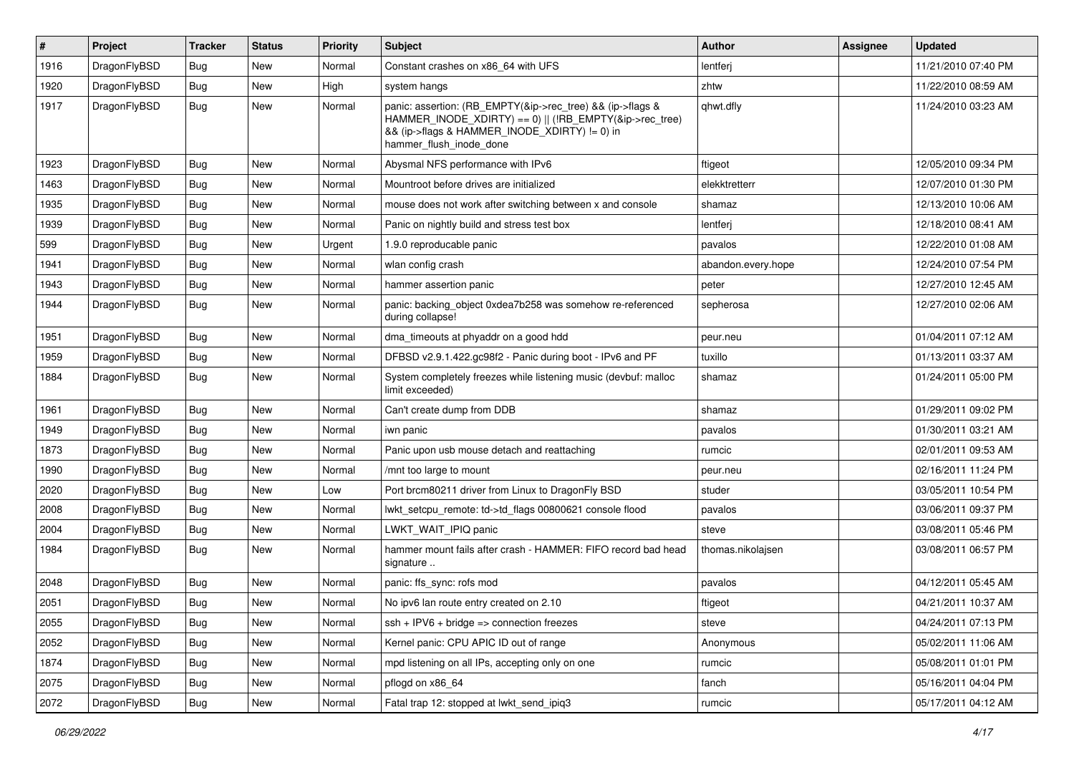| #    | Project      | <b>Tracker</b> | <b>Status</b> | <b>Priority</b> | Subject                                                                                                                                                                                           | Author             | <b>Assignee</b> | <b>Updated</b>      |
|------|--------------|----------------|---------------|-----------------|---------------------------------------------------------------------------------------------------------------------------------------------------------------------------------------------------|--------------------|-----------------|---------------------|
| 1916 | DragonFlyBSD | Bug            | <b>New</b>    | Normal          | Constant crashes on x86_64 with UFS                                                                                                                                                               | lentferj           |                 | 11/21/2010 07:40 PM |
| 1920 | DragonFlyBSD | Bug            | <b>New</b>    | High            | system hangs                                                                                                                                                                                      | zhtw               |                 | 11/22/2010 08:59 AM |
| 1917 | DragonFlyBSD | Bug            | New           | Normal          | panic: assertion: (RB_EMPTY(&ip->rec_tree) && (ip->flags &<br>HAMMER_INODE_XDIRTY) == 0)    (!RB_EMPTY(&ip->rec_tree)<br>&& (ip->flags & HAMMER INODE XDIRTY) != 0) in<br>hammer flush inode done | qhwt.dfly          |                 | 11/24/2010 03:23 AM |
| 1923 | DragonFlyBSD | Bug            | <b>New</b>    | Normal          | Abysmal NFS performance with IPv6                                                                                                                                                                 | ftigeot            |                 | 12/05/2010 09:34 PM |
| 1463 | DragonFlyBSD | Bug            | <b>New</b>    | Normal          | Mountroot before drives are initialized                                                                                                                                                           | elekktretterr      |                 | 12/07/2010 01:30 PM |
| 1935 | DragonFlyBSD | Bug            | <b>New</b>    | Normal          | mouse does not work after switching between x and console                                                                                                                                         | shamaz             |                 | 12/13/2010 10:06 AM |
| 1939 | DragonFlyBSD | Bug            | <b>New</b>    | Normal          | Panic on nightly build and stress test box                                                                                                                                                        | lentferj           |                 | 12/18/2010 08:41 AM |
| 599  | DragonFlyBSD | <b>Bug</b>     | <b>New</b>    | Urgent          | 1.9.0 reproducable panic                                                                                                                                                                          | pavalos            |                 | 12/22/2010 01:08 AM |
| 1941 | DragonFlyBSD | Bug            | New           | Normal          | wlan config crash                                                                                                                                                                                 | abandon.every.hope |                 | 12/24/2010 07:54 PM |
| 1943 | DragonFlyBSD | <b>Bug</b>     | <b>New</b>    | Normal          | hammer assertion panic                                                                                                                                                                            | peter              |                 | 12/27/2010 12:45 AM |
| 1944 | DragonFlyBSD | Bug            | New           | Normal          | panic: backing object 0xdea7b258 was somehow re-referenced<br>during collapse!                                                                                                                    | sepherosa          |                 | 12/27/2010 02:06 AM |
| 1951 | DragonFlyBSD | Bug            | <b>New</b>    | Normal          | dma timeouts at phyaddr on a good hdd                                                                                                                                                             | peur.neu           |                 | 01/04/2011 07:12 AM |
| 1959 | DragonFlyBSD | Bug            | <b>New</b>    | Normal          | DFBSD v2.9.1.422.gc98f2 - Panic during boot - IPv6 and PF                                                                                                                                         | tuxillo            |                 | 01/13/2011 03:37 AM |
| 1884 | DragonFlyBSD | Bug            | New           | Normal          | System completely freezes while listening music (devbuf: malloc<br>limit exceeded)                                                                                                                | shamaz             |                 | 01/24/2011 05:00 PM |
| 1961 | DragonFlyBSD | Bug            | <b>New</b>    | Normal          | Can't create dump from DDB                                                                                                                                                                        | shamaz             |                 | 01/29/2011 09:02 PM |
| 1949 | DragonFlyBSD | <b>Bug</b>     | <b>New</b>    | Normal          | iwn panic                                                                                                                                                                                         | pavalos            |                 | 01/30/2011 03:21 AM |
| 1873 | DragonFlyBSD | <b>Bug</b>     | New           | Normal          | Panic upon usb mouse detach and reattaching                                                                                                                                                       | rumcic             |                 | 02/01/2011 09:53 AM |
| 1990 | DragonFlyBSD | Bug            | <b>New</b>    | Normal          | /mnt too large to mount                                                                                                                                                                           | peur.neu           |                 | 02/16/2011 11:24 PM |
| 2020 | DragonFlyBSD | <b>Bug</b>     | New           | Low             | Port brcm80211 driver from Linux to DragonFly BSD                                                                                                                                                 | studer             |                 | 03/05/2011 10:54 PM |
| 2008 | DragonFlyBSD | Bug            | New           | Normal          | lwkt setcpu remote: td->td flags 00800621 console flood                                                                                                                                           | pavalos            |                 | 03/06/2011 09:37 PM |
| 2004 | DragonFlyBSD | Bug            | <b>New</b>    | Normal          | LWKT WAIT IPIQ panic                                                                                                                                                                              | steve              |                 | 03/08/2011 05:46 PM |
| 1984 | DragonFlyBSD | <b>Bug</b>     | New           | Normal          | hammer mount fails after crash - HAMMER: FIFO record bad head<br>signature                                                                                                                        | thomas.nikolajsen  |                 | 03/08/2011 06:57 PM |
| 2048 | DragonFlyBSD | <b>Bug</b>     | <b>New</b>    | Normal          | panic: ffs_sync: rofs mod                                                                                                                                                                         | pavalos            |                 | 04/12/2011 05:45 AM |
| 2051 | DragonFlyBSD | i Bug          | New           | Normal          | No ipv6 lan route entry created on 2.10                                                                                                                                                           | ftigeot            |                 | 04/21/2011 10:37 AM |
| 2055 | DragonFlyBSD | Bug            | New           | Normal          | $ssh + IPV6 + bridge \Rightarrow$ connection freezes                                                                                                                                              | steve              |                 | 04/24/2011 07:13 PM |
| 2052 | DragonFlyBSD | <b>Bug</b>     | New           | Normal          | Kernel panic: CPU APIC ID out of range                                                                                                                                                            | Anonymous          |                 | 05/02/2011 11:06 AM |
| 1874 | DragonFlyBSD | <b>Bug</b>     | New           | Normal          | mpd listening on all IPs, accepting only on one                                                                                                                                                   | rumcic             |                 | 05/08/2011 01:01 PM |
| 2075 | DragonFlyBSD | Bug            | New           | Normal          | pflogd on x86 64                                                                                                                                                                                  | fanch              |                 | 05/16/2011 04:04 PM |
| 2072 | DragonFlyBSD | Bug            | New           | Normal          | Fatal trap 12: stopped at lwkt_send_ipiq3                                                                                                                                                         | rumcic             |                 | 05/17/2011 04:12 AM |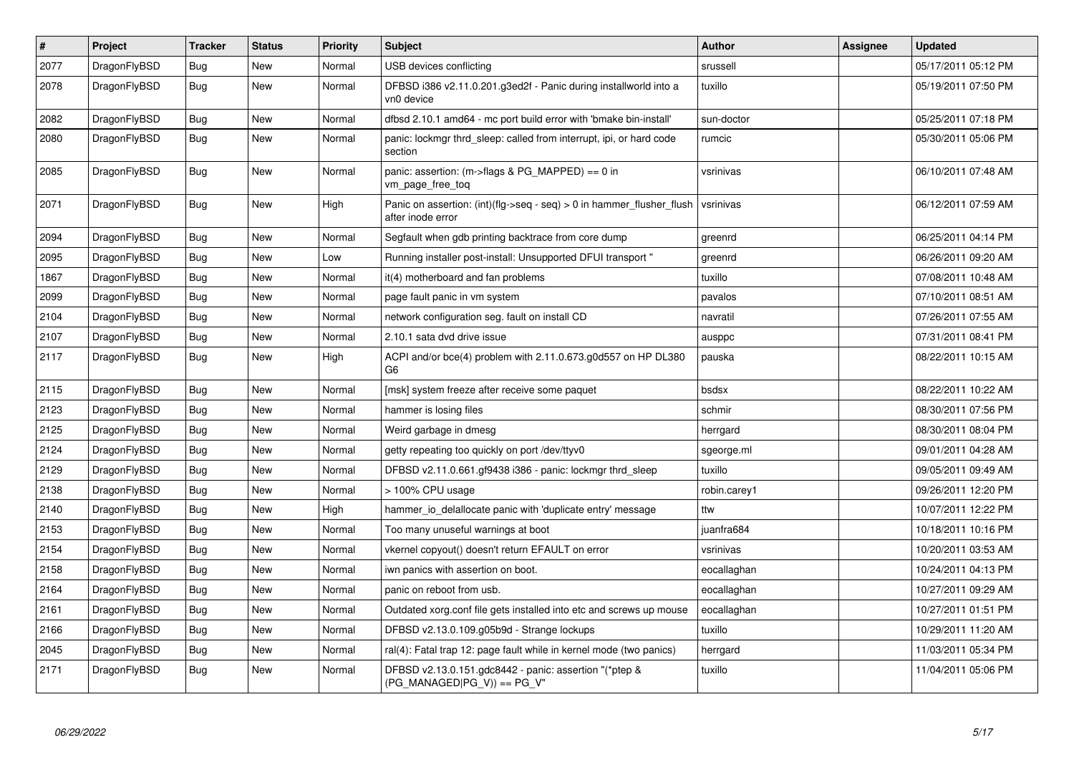| $\pmb{\#}$ | Project      | <b>Tracker</b> | <b>Status</b> | <b>Priority</b> | <b>Subject</b>                                                                                | <b>Author</b> | Assignee | Updated             |
|------------|--------------|----------------|---------------|-----------------|-----------------------------------------------------------------------------------------------|---------------|----------|---------------------|
| 2077       | DragonFlyBSD | <b>Bug</b>     | <b>New</b>    | Normal          | USB devices conflicting                                                                       | srussell      |          | 05/17/2011 05:12 PM |
| 2078       | DragonFlyBSD | <b>Bug</b>     | <b>New</b>    | Normal          | DFBSD i386 v2.11.0.201.g3ed2f - Panic during installworld into a<br>vn0 device                | tuxillo       |          | 05/19/2011 07:50 PM |
| 2082       | DragonFlyBSD | <b>Bug</b>     | <b>New</b>    | Normal          | dfbsd 2.10.1 amd64 - mc port build error with 'bmake bin-install'                             | sun-doctor    |          | 05/25/2011 07:18 PM |
| 2080       | DragonFlyBSD | Bug            | <b>New</b>    | Normal          | panic: lockmgr thrd sleep: called from interrupt, ipi, or hard code<br>section                | rumcic        |          | 05/30/2011 05:06 PM |
| 2085       | DragonFlyBSD | <b>Bug</b>     | New           | Normal          | panic: assertion: (m->flags & PG_MAPPED) == 0 in<br>vm_page_free_toq                          | vsrinivas     |          | 06/10/2011 07:48 AM |
| 2071       | DragonFlyBSD | <b>Bug</b>     | <b>New</b>    | High            | Panic on assertion: $(int)(flag->seq - seq) > 0$ in hammer flusher flush<br>after inode error | vsrinivas     |          | 06/12/2011 07:59 AM |
| 2094       | DragonFlyBSD | <b>Bug</b>     | <b>New</b>    | Normal          | Segfault when gdb printing backtrace from core dump                                           | greenrd       |          | 06/25/2011 04:14 PM |
| 2095       | DragonFlyBSD | Bug            | <b>New</b>    | Low             | Running installer post-install: Unsupported DFUI transport "                                  | greenrd       |          | 06/26/2011 09:20 AM |
| 1867       | DragonFlyBSD | Bug            | <b>New</b>    | Normal          | it(4) motherboard and fan problems                                                            | tuxillo       |          | 07/08/2011 10:48 AM |
| 2099       | DragonFlyBSD | Bug            | <b>New</b>    | Normal          | page fault panic in vm system                                                                 | pavalos       |          | 07/10/2011 08:51 AM |
| 2104       | DragonFlyBSD | Bug            | <b>New</b>    | Normal          | network configuration seg. fault on install CD                                                | navratil      |          | 07/26/2011 07:55 AM |
| 2107       | DragonFlyBSD | Bug            | <b>New</b>    | Normal          | 2.10.1 sata dvd drive issue                                                                   | ausppc        |          | 07/31/2011 08:41 PM |
| 2117       | DragonFlyBSD | <b>Bug</b>     | <b>New</b>    | High            | ACPI and/or bce(4) problem with 2.11.0.673.g0d557 on HP DL380<br>G <sub>6</sub>               | pauska        |          | 08/22/2011 10:15 AM |
| 2115       | DragonFlyBSD | <b>Bug</b>     | <b>New</b>    | Normal          | [msk] system freeze after receive some paquet                                                 | bsdsx         |          | 08/22/2011 10:22 AM |
| 2123       | DragonFlyBSD | <b>Bug</b>     | <b>New</b>    | Normal          | hammer is losing files                                                                        | schmir        |          | 08/30/2011 07:56 PM |
| 2125       | DragonFlyBSD | <b>Bug</b>     | <b>New</b>    | Normal          | Weird garbage in dmesg                                                                        | herrgard      |          | 08/30/2011 08:04 PM |
| 2124       | DragonFlyBSD | Bug            | <b>New</b>    | Normal          | getty repeating too quickly on port /dev/ttyv0                                                | sgeorge.ml    |          | 09/01/2011 04:28 AM |
| 2129       | DragonFlyBSD | Bug            | <b>New</b>    | Normal          | DFBSD v2.11.0.661.gf9438 i386 - panic: lockmgr thrd sleep                                     | tuxillo       |          | 09/05/2011 09:49 AM |
| 2138       | DragonFlyBSD | <b>Bug</b>     | <b>New</b>    | Normal          | > 100% CPU usage                                                                              | robin.carey1  |          | 09/26/2011 12:20 PM |
| 2140       | DragonFlyBSD | Bug            | New           | High            | hammer io delallocate panic with 'duplicate entry' message                                    | ttw           |          | 10/07/2011 12:22 PM |
| 2153       | DragonFlyBSD | Bug            | <b>New</b>    | Normal          | Too many unuseful warnings at boot                                                            | juanfra684    |          | 10/18/2011 10:16 PM |
| 2154       | DragonFlyBSD | <b>Bug</b>     | <b>New</b>    | Normal          | vkernel copyout() doesn't return EFAULT on error                                              | vsrinivas     |          | 10/20/2011 03:53 AM |
| 2158       | DragonFlyBSD | Bug            | <b>New</b>    | Normal          | iwn panics with assertion on boot.                                                            | eocallaghan   |          | 10/24/2011 04:13 PM |
| 2164       | DragonFlyBSD | <b>Bug</b>     | <b>New</b>    | Normal          | panic on reboot from usb.                                                                     | eocallaghan   |          | 10/27/2011 09:29 AM |
| 2161       | DragonFlyBSD | Bug            | <b>New</b>    | Normal          | Outdated xorg.conf file gets installed into etc and screws up mouse                           | eocallaghan   |          | 10/27/2011 01:51 PM |
| 2166       | DragonFlyBSD | Bug            | <b>New</b>    | Normal          | DFBSD v2.13.0.109.g05b9d - Strange lockups                                                    | tuxillo       |          | 10/29/2011 11:20 AM |
| 2045       | DragonFlyBSD | Bug            | <b>New</b>    | Normal          | ral(4): Fatal trap 12: page fault while in kernel mode (two panics)                           | herrgard      |          | 11/03/2011 05:34 PM |
| 2171       | DragonFlyBSD | Bug            | New           | Normal          | DFBSD v2.13.0.151.gdc8442 - panic: assertion "(*ptep &<br>$(PG$ MANAGED PG V)) == PG V"       | tuxillo       |          | 11/04/2011 05:06 PM |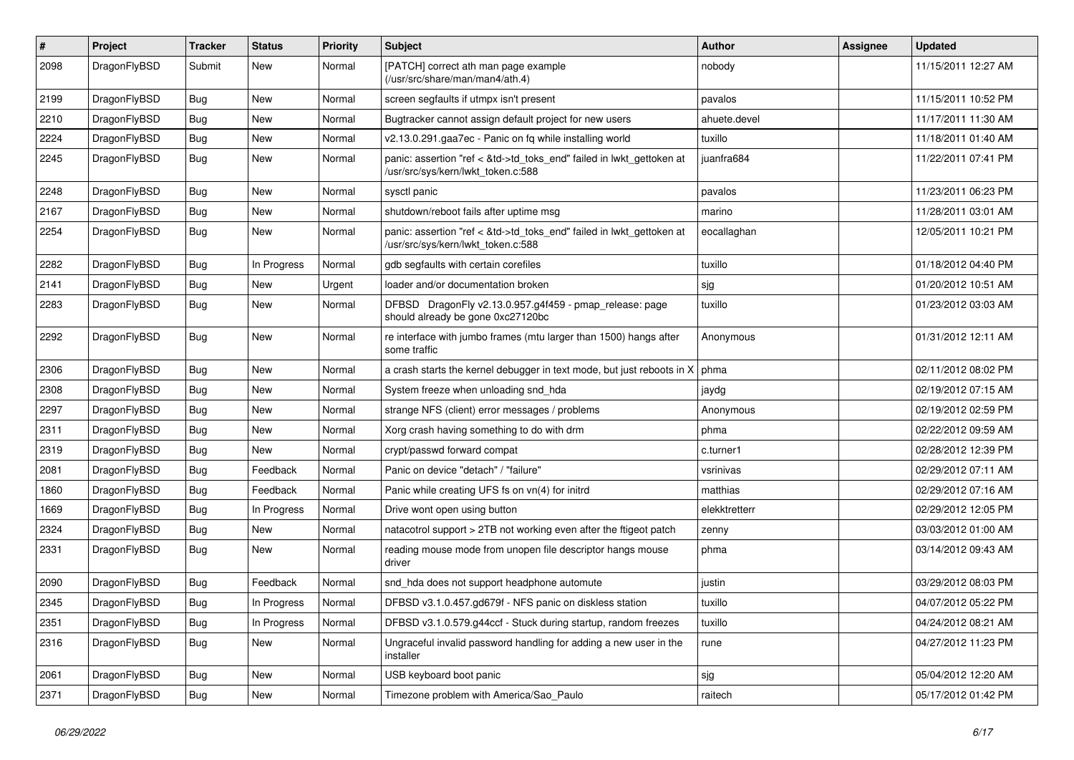| #    | Project      | <b>Tracker</b> | <b>Status</b> | <b>Priority</b> | Subject                                                                                                    | <b>Author</b> | Assignee | <b>Updated</b>      |
|------|--------------|----------------|---------------|-----------------|------------------------------------------------------------------------------------------------------------|---------------|----------|---------------------|
| 2098 | DragonFlyBSD | Submit         | New           | Normal          | [PATCH] correct ath man page example<br>(/usr/src/share/man/man4/ath.4)                                    | nobody        |          | 11/15/2011 12:27 AM |
| 2199 | DragonFlyBSD | Bug            | New           | Normal          | screen segfaults if utmpx isn't present                                                                    | pavalos       |          | 11/15/2011 10:52 PM |
| 2210 | DragonFlyBSD | Bug            | <b>New</b>    | Normal          | Bugtracker cannot assign default project for new users                                                     | ahuete.devel  |          | 11/17/2011 11:30 AM |
| 2224 | DragonFlyBSD | Bug            | New           | Normal          | v2.13.0.291.gaa7ec - Panic on fq while installing world                                                    | tuxillo       |          | 11/18/2011 01:40 AM |
| 2245 | DragonFlyBSD | Bug            | New           | Normal          | panic: assertion "ref < &td->td_toks_end" failed in lwkt_gettoken at<br>/usr/src/sys/kern/lwkt_token.c:588 | juanfra684    |          | 11/22/2011 07:41 PM |
| 2248 | DragonFlyBSD | Bug            | New           | Normal          | sysctl panic                                                                                               | pavalos       |          | 11/23/2011 06:23 PM |
| 2167 | DragonFlyBSD | Bug            | New           | Normal          | shutdown/reboot fails after uptime msg                                                                     | marino        |          | 11/28/2011 03:01 AM |
| 2254 | DragonFlyBSD | Bug            | New           | Normal          | panic: assertion "ref < &td->td_toks_end" failed in lwkt_gettoken at<br>/usr/src/sys/kern/lwkt_token.c:588 | eocallaghan   |          | 12/05/2011 10:21 PM |
| 2282 | DragonFlyBSD | Bug            | In Progress   | Normal          | gdb segfaults with certain corefiles                                                                       | tuxillo       |          | 01/18/2012 04:40 PM |
| 2141 | DragonFlyBSD | Bug            | <b>New</b>    | Urgent          | loader and/or documentation broken                                                                         | sjg           |          | 01/20/2012 10:51 AM |
| 2283 | DragonFlyBSD | Bug            | New           | Normal          | DFBSD DragonFly v2.13.0.957.g4f459 - pmap_release: page<br>should already be gone 0xc27120bc               | tuxillo       |          | 01/23/2012 03:03 AM |
| 2292 | DragonFlyBSD | Bug            | <b>New</b>    | Normal          | re interface with jumbo frames (mtu larger than 1500) hangs after<br>some traffic                          | Anonymous     |          | 01/31/2012 12:11 AM |
| 2306 | DragonFlyBSD | Bug            | New           | Normal          | a crash starts the kernel debugger in text mode, but just reboots in X                                     | phma          |          | 02/11/2012 08:02 PM |
| 2308 | DragonFlyBSD | Bug            | <b>New</b>    | Normal          | System freeze when unloading snd_hda                                                                       | jaydg         |          | 02/19/2012 07:15 AM |
| 2297 | DragonFlyBSD | Bug            | <b>New</b>    | Normal          | strange NFS (client) error messages / problems                                                             | Anonymous     |          | 02/19/2012 02:59 PM |
| 2311 | DragonFlyBSD | <b>Bug</b>     | New           | Normal          | Xorg crash having something to do with drm                                                                 | phma          |          | 02/22/2012 09:59 AM |
| 2319 | DragonFlyBSD | <b>Bug</b>     | New           | Normal          | crypt/passwd forward compat                                                                                | c.turner1     |          | 02/28/2012 12:39 PM |
| 2081 | DragonFlyBSD | <b>Bug</b>     | Feedback      | Normal          | Panic on device "detach" / "failure"                                                                       | vsrinivas     |          | 02/29/2012 07:11 AM |
| 1860 | DragonFlyBSD | <b>Bug</b>     | Feedback      | Normal          | Panic while creating UFS fs on vn(4) for initrd                                                            | matthias      |          | 02/29/2012 07:16 AM |
| 1669 | DragonFlyBSD | <b>Bug</b>     | In Progress   | Normal          | Drive wont open using button                                                                               | elekktretterr |          | 02/29/2012 12:05 PM |
| 2324 | DragonFlyBSD | <b>Bug</b>     | New           | Normal          | natacotrol support > 2TB not working even after the ftigeot patch                                          | zenny         |          | 03/03/2012 01:00 AM |
| 2331 | DragonFlyBSD | <b>Bug</b>     | New           | Normal          | reading mouse mode from unopen file descriptor hangs mouse<br>driver                                       | phma          |          | 03/14/2012 09:43 AM |
| 2090 | DragonFlyBSD | <b>Bug</b>     | Feedback      | Normal          | snd_hda does not support headphone automute                                                                | justin        |          | 03/29/2012 08:03 PM |
| 2345 | DragonFlyBSD | Bug            | In Progress   | Normal          | DFBSD v3.1.0.457.gd679f - NFS panic on diskless station                                                    | tuxillo       |          | 04/07/2012 05:22 PM |
| 2351 | DragonFlyBSD | <b>Bug</b>     | In Progress   | Normal          | DFBSD v3.1.0.579.g44ccf - Stuck during startup, random freezes                                             | tuxillo       |          | 04/24/2012 08:21 AM |
| 2316 | DragonFlyBSD | <b>Bug</b>     | New           | Normal          | Ungraceful invalid password handling for adding a new user in the<br>installer                             | rune          |          | 04/27/2012 11:23 PM |
| 2061 | DragonFlyBSD | <b>Bug</b>     | New           | Normal          | USB keyboard boot panic                                                                                    | sjg           |          | 05/04/2012 12:20 AM |
| 2371 | DragonFlyBSD | <b>Bug</b>     | New           | Normal          | Timezone problem with America/Sao_Paulo                                                                    | raitech       |          | 05/17/2012 01:42 PM |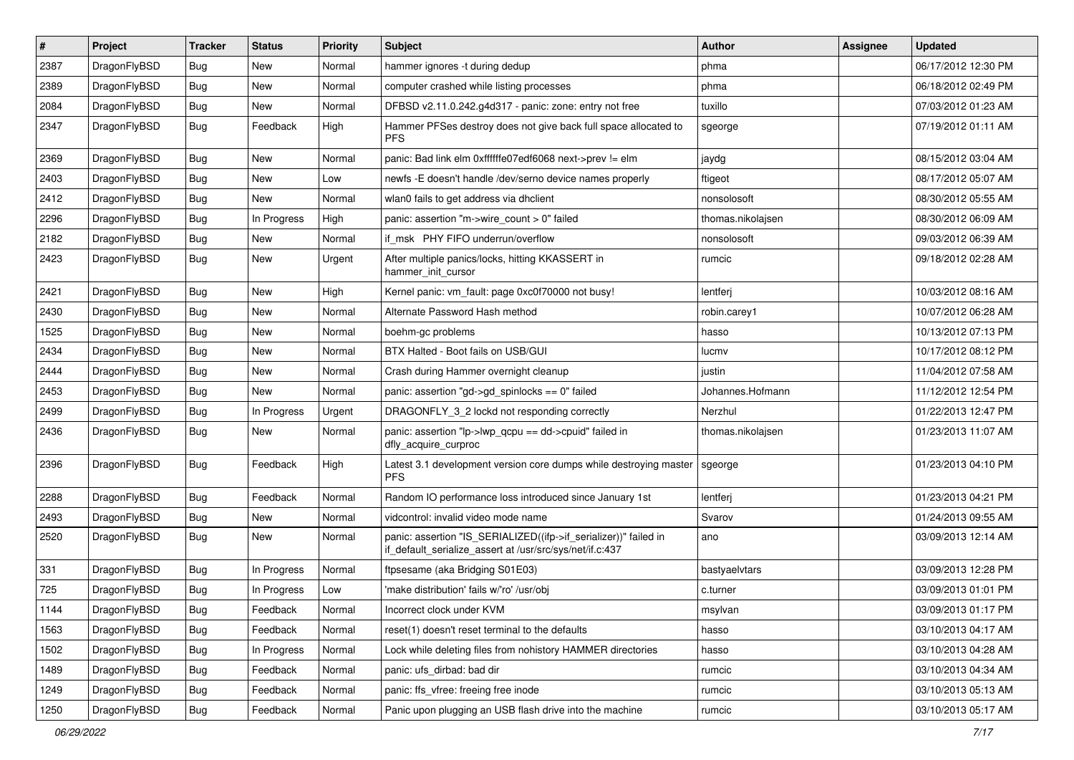| $\sharp$ | Project      | <b>Tracker</b> | <b>Status</b> | <b>Priority</b> | <b>Subject</b>                                                                                                               | Author            | Assignee | <b>Updated</b>      |
|----------|--------------|----------------|---------------|-----------------|------------------------------------------------------------------------------------------------------------------------------|-------------------|----------|---------------------|
| 2387     | DragonFlyBSD | <b>Bug</b>     | <b>New</b>    | Normal          | hammer ignores -t during dedup                                                                                               | phma              |          | 06/17/2012 12:30 PM |
| 2389     | DragonFlyBSD | <b>Bug</b>     | <b>New</b>    | Normal          | computer crashed while listing processes                                                                                     | phma              |          | 06/18/2012 02:49 PM |
| 2084     | DragonFlyBSD | <b>Bug</b>     | New           | Normal          | DFBSD v2.11.0.242.g4d317 - panic: zone: entry not free                                                                       | tuxillo           |          | 07/03/2012 01:23 AM |
| 2347     | DragonFlyBSD | Bug            | Feedback      | High            | Hammer PFSes destroy does not give back full space allocated to<br><b>PFS</b>                                                | sgeorge           |          | 07/19/2012 01:11 AM |
| 2369     | DragonFlyBSD | <b>Bug</b>     | <b>New</b>    | Normal          | panic: Bad link elm 0xffffffe07edf6068 next->prev != elm                                                                     | jaydg             |          | 08/15/2012 03:04 AM |
| 2403     | DragonFlyBSD | <b>Bug</b>     | <b>New</b>    | Low             | newfs -E doesn't handle /dev/serno device names properly                                                                     | ftigeot           |          | 08/17/2012 05:07 AM |
| 2412     | DragonFlyBSD | <b>Bug</b>     | New           | Normal          | wlan0 fails to get address via dhclient                                                                                      | nonsolosoft       |          | 08/30/2012 05:55 AM |
| 2296     | DragonFlyBSD | Bug            | In Progress   | High            | panic: assertion "m->wire count > 0" failed                                                                                  | thomas.nikolajsen |          | 08/30/2012 06:09 AM |
| 2182     | DragonFlyBSD | <b>Bug</b>     | New           | Normal          | if msk PHY FIFO underrun/overflow                                                                                            | nonsolosoft       |          | 09/03/2012 06:39 AM |
| 2423     | DragonFlyBSD | <b>Bug</b>     | New           | Urgent          | After multiple panics/locks, hitting KKASSERT in<br>hammer_init_cursor                                                       | rumcic            |          | 09/18/2012 02:28 AM |
| 2421     | DragonFlyBSD | <b>Bug</b>     | <b>New</b>    | High            | Kernel panic: vm_fault: page 0xc0f70000 not busy!                                                                            | lentferj          |          | 10/03/2012 08:16 AM |
| 2430     | DragonFlyBSD | <b>Bug</b>     | <b>New</b>    | Normal          | Alternate Password Hash method                                                                                               | robin.carey1      |          | 10/07/2012 06:28 AM |
| 1525     | DragonFlyBSD | <b>Bug</b>     | <b>New</b>    | Normal          | boehm-gc problems                                                                                                            | hasso             |          | 10/13/2012 07:13 PM |
| 2434     | DragonFlyBSD | <b>Bug</b>     | <b>New</b>    | Normal          | BTX Halted - Boot fails on USB/GUI                                                                                           | lucmv             |          | 10/17/2012 08:12 PM |
| 2444     | DragonFlyBSD | <b>Bug</b>     | New           | Normal          | Crash during Hammer overnight cleanup                                                                                        | justin            |          | 11/04/2012 07:58 AM |
| 2453     | DragonFlyBSD | <b>Bug</b>     | <b>New</b>    | Normal          | panic: assertion "gd->gd_spinlocks == 0" failed                                                                              | Johannes.Hofmann  |          | 11/12/2012 12:54 PM |
| 2499     | DragonFlyBSD | <b>Bug</b>     | In Progress   | Urgent          | DRAGONFLY_3_2 lockd not responding correctly                                                                                 | Nerzhul           |          | 01/22/2013 12:47 PM |
| 2436     | DragonFlyBSD | Bug            | New           | Normal          | panic: assertion "lp->lwp_qcpu == dd->cpuid" failed in<br>dfly_acquire_curproc                                               | thomas.nikolajsen |          | 01/23/2013 11:07 AM |
| 2396     | DragonFlyBSD | Bug            | Feedback      | High            | Latest 3.1 development version core dumps while destroying master<br><b>PFS</b>                                              | sgeorge           |          | 01/23/2013 04:10 PM |
| 2288     | DragonFlyBSD | Bug            | Feedback      | Normal          | Random IO performance loss introduced since January 1st                                                                      | lentferj          |          | 01/23/2013 04:21 PM |
| 2493     | DragonFlyBSD | <b>Bug</b>     | New           | Normal          | vidcontrol: invalid video mode name                                                                                          | Svarov            |          | 01/24/2013 09:55 AM |
| 2520     | DragonFlyBSD | <b>Bug</b>     | <b>New</b>    | Normal          | panic: assertion "IS_SERIALIZED((ifp->if_serializer))" failed in<br>if_default_serialize_assert at /usr/src/sys/net/if.c:437 | ano               |          | 03/09/2013 12:14 AM |
| 331      | DragonFlyBSD | <b>Bug</b>     | In Progress   | Normal          | ftpsesame (aka Bridging S01E03)                                                                                              | bastyaelvtars     |          | 03/09/2013 12:28 PM |
| 725      | DragonFlyBSD | <b>Bug</b>     | In Progress   | Low             | 'make distribution' fails w/'ro' /usr/obj                                                                                    | c.turner          |          | 03/09/2013 01:01 PM |
| 1144     | DragonFlyBSD | <b>Bug</b>     | Feedback      | Normal          | Incorrect clock under KVM                                                                                                    | msylvan           |          | 03/09/2013 01:17 PM |
| 1563     | DragonFlyBSD | Bug            | Feedback      | Normal          | reset(1) doesn't reset terminal to the defaults                                                                              | hasso             |          | 03/10/2013 04:17 AM |
| 1502     | DragonFlyBSD | <b>Bug</b>     | In Progress   | Normal          | Lock while deleting files from nohistory HAMMER directories                                                                  | hasso             |          | 03/10/2013 04:28 AM |
| 1489     | DragonFlyBSD | <b>Bug</b>     | Feedback      | Normal          | panic: ufs_dirbad: bad dir                                                                                                   | rumcic            |          | 03/10/2013 04:34 AM |
| 1249     | DragonFlyBSD | <b>Bug</b>     | Feedback      | Normal          | panic: ffs_vfree: freeing free inode                                                                                         | rumcic            |          | 03/10/2013 05:13 AM |
| 1250     | DragonFlyBSD | <b>Bug</b>     | Feedback      | Normal          | Panic upon plugging an USB flash drive into the machine                                                                      | rumcic            |          | 03/10/2013 05:17 AM |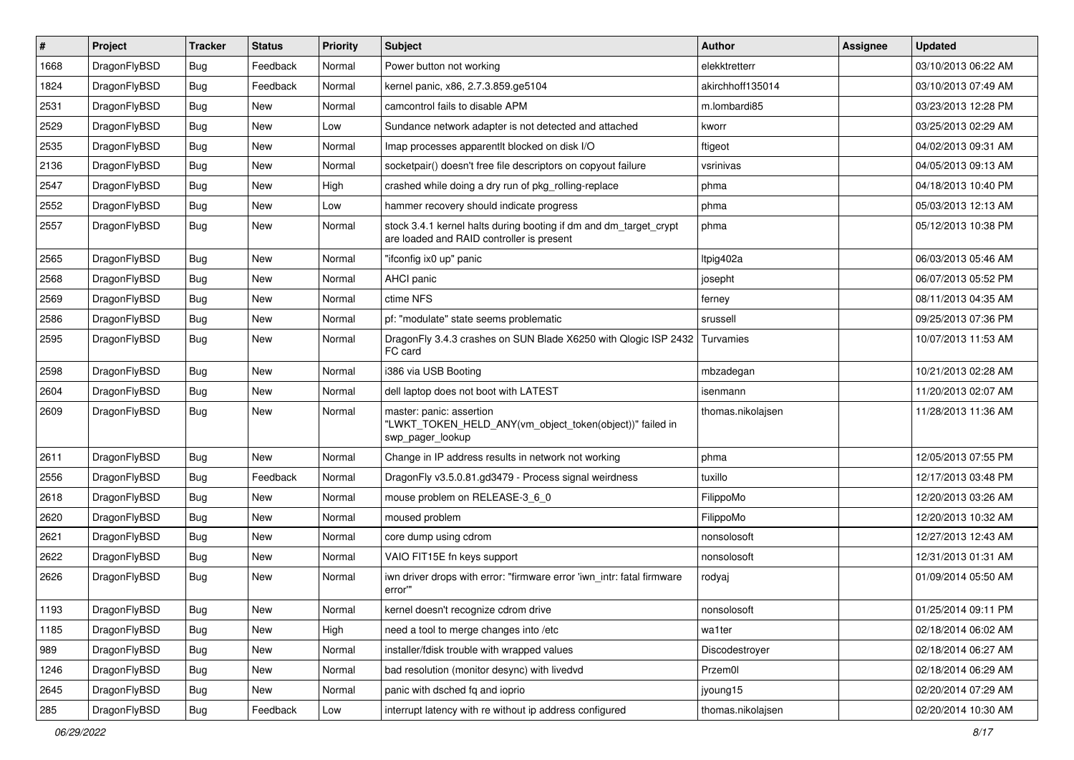| $\sharp$ | Project      | <b>Tracker</b> | <b>Status</b> | <b>Priority</b> | Subject                                                                                                        | <b>Author</b>     | Assignee | <b>Updated</b>      |
|----------|--------------|----------------|---------------|-----------------|----------------------------------------------------------------------------------------------------------------|-------------------|----------|---------------------|
| 1668     | DragonFlyBSD | <b>Bug</b>     | Feedback      | Normal          | Power button not working                                                                                       | elekktretterr     |          | 03/10/2013 06:22 AM |
| 1824     | DragonFlyBSD | <b>Bug</b>     | Feedback      | Normal          | kernel panic, x86, 2.7.3.859.ge5104                                                                            | akirchhoff135014  |          | 03/10/2013 07:49 AM |
| 2531     | DragonFlyBSD | <b>Bug</b>     | New           | Normal          | camcontrol fails to disable APM                                                                                | m.lombardi85      |          | 03/23/2013 12:28 PM |
| 2529     | DragonFlyBSD | <b>Bug</b>     | New           | Low             | Sundance network adapter is not detected and attached                                                          | kworr             |          | 03/25/2013 02:29 AM |
| 2535     | DragonFlyBSD | <b>Bug</b>     | <b>New</b>    | Normal          | Imap processes apparentlt blocked on disk I/O                                                                  | ftigeot           |          | 04/02/2013 09:31 AM |
| 2136     | DragonFlyBSD | <b>Bug</b>     | <b>New</b>    | Normal          | socketpair() doesn't free file descriptors on copyout failure                                                  | vsrinivas         |          | 04/05/2013 09:13 AM |
| 2547     | DragonFlyBSD | <b>Bug</b>     | New           | High            | crashed while doing a dry run of pkg rolling-replace                                                           | phma              |          | 04/18/2013 10:40 PM |
| 2552     | DragonFlyBSD | <b>Bug</b>     | New           | Low             | hammer recovery should indicate progress                                                                       | phma              |          | 05/03/2013 12:13 AM |
| 2557     | DragonFlyBSD | <b>Bug</b>     | New           | Normal          | stock 3.4.1 kernel halts during booting if dm and dm_target_crypt<br>are loaded and RAID controller is present | phma              |          | 05/12/2013 10:38 PM |
| 2565     | DragonFlyBSD | <b>Bug</b>     | New           | Normal          | "ifconfig ix0 up" panic                                                                                        | Itpig402a         |          | 06/03/2013 05:46 AM |
| 2568     | DragonFlyBSD | <b>Bug</b>     | New           | Normal          | AHCI panic                                                                                                     | josepht           |          | 06/07/2013 05:52 PM |
| 2569     | DragonFlyBSD | <b>Bug</b>     | New           | Normal          | ctime NFS                                                                                                      | ferney            |          | 08/11/2013 04:35 AM |
| 2586     | DragonFlyBSD | <b>Bug</b>     | <b>New</b>    | Normal          | pf: "modulate" state seems problematic                                                                         | srussell          |          | 09/25/2013 07:36 PM |
| 2595     | DragonFlyBSD | Bug            | New           | Normal          | DragonFly 3.4.3 crashes on SUN Blade X6250 with Qlogic ISP 2432<br>FC card                                     | Turvamies         |          | 10/07/2013 11:53 AM |
| 2598     | DragonFlyBSD | Bug            | New           | Normal          | i386 via USB Booting                                                                                           | mbzadegan         |          | 10/21/2013 02:28 AM |
| 2604     | DragonFlyBSD | Bug            | <b>New</b>    | Normal          | dell laptop does not boot with LATEST                                                                          | isenmann          |          | 11/20/2013 02:07 AM |
| 2609     | DragonFlyBSD | Bug            | New           | Normal          | master: panic: assertion<br>"LWKT_TOKEN_HELD_ANY(vm_object_token(object))" failed in<br>swp_pager_lookup       | thomas.nikolajsen |          | 11/28/2013 11:36 AM |
| 2611     | DragonFlyBSD | Bug            | New           | Normal          | Change in IP address results in network not working                                                            | phma              |          | 12/05/2013 07:55 PM |
| 2556     | DragonFlyBSD | Bug            | Feedback      | Normal          | DragonFly v3.5.0.81.gd3479 - Process signal weirdness                                                          | tuxillo           |          | 12/17/2013 03:48 PM |
| 2618     | DragonFlyBSD | Bug            | New           | Normal          | mouse problem on RELEASE-3_6_0                                                                                 | FilippoMo         |          | 12/20/2013 03:26 AM |
| 2620     | DragonFlyBSD | Bug            | New           | Normal          | moused problem                                                                                                 | FilippoMo         |          | 12/20/2013 10:32 AM |
| 2621     | DragonFlyBSD | Bug            | <b>New</b>    | Normal          | core dump using cdrom                                                                                          | nonsolosoft       |          | 12/27/2013 12:43 AM |
| 2622     | DragonFlyBSD | Bug            | New           | Normal          | VAIO FIT15E fn keys support                                                                                    | nonsolosoft       |          | 12/31/2013 01:31 AM |
| 2626     | DragonFlyBSD | Bug            | New           | Normal          | iwn driver drops with error: "firmware error 'iwn_intr: fatal firmware<br>error""                              | rodyaj            |          | 01/09/2014 05:50 AM |
| 1193     | DragonFlyBSD | <b>Bug</b>     | <b>New</b>    | Normal          | kernel doesn't recognize cdrom drive                                                                           | nonsolosoft       |          | 01/25/2014 09:11 PM |
| 1185     | DragonFlyBSD | <b>Bug</b>     | <b>New</b>    | High            | need a tool to merge changes into /etc                                                                         | wa1ter            |          | 02/18/2014 06:02 AM |
| 989      | DragonFlyBSD | <b>Bug</b>     | New           | Normal          | installer/fdisk trouble with wrapped values                                                                    | Discodestroyer    |          | 02/18/2014 06:27 AM |
| 1246     | DragonFlyBSD | <b>Bug</b>     | <b>New</b>    | Normal          | bad resolution (monitor desync) with livedvd                                                                   | Przem0l           |          | 02/18/2014 06:29 AM |
| 2645     | DragonFlyBSD | <b>Bug</b>     | New           | Normal          | panic with dsched fq and ioprio                                                                                | jyoung15          |          | 02/20/2014 07:29 AM |
| 285      | DragonFlyBSD | <b>Bug</b>     | Feedback      | Low             | interrupt latency with re without ip address configured                                                        | thomas.nikolajsen |          | 02/20/2014 10:30 AM |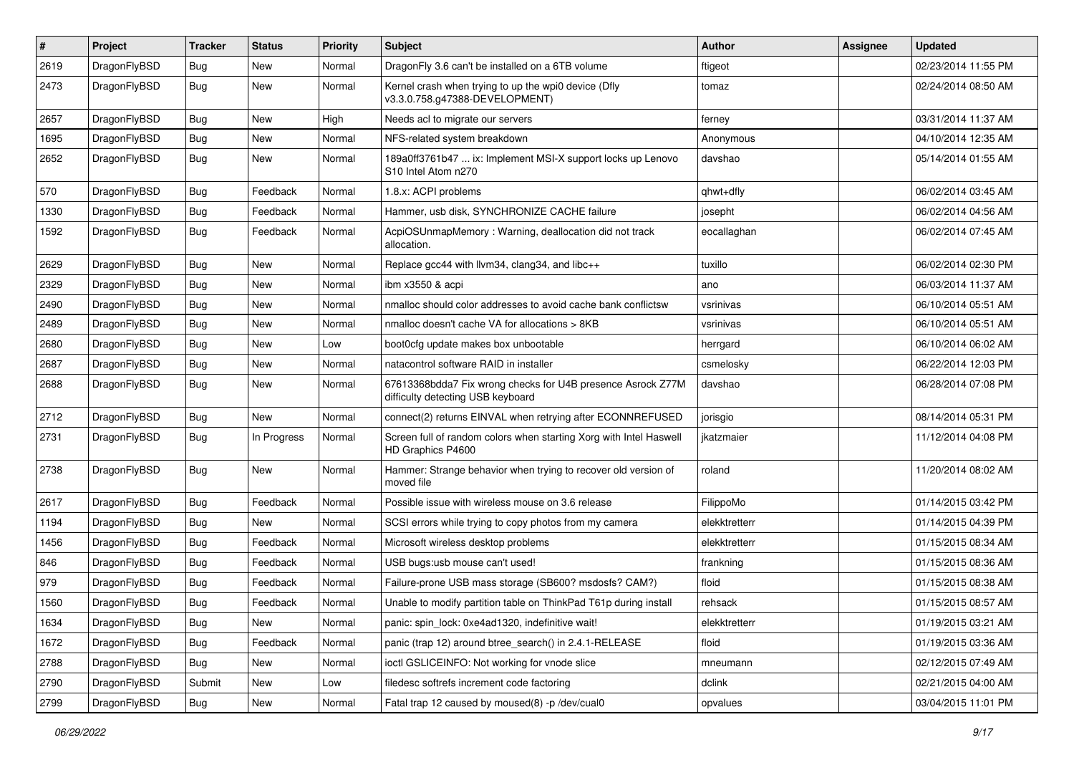| $\sharp$ | Project      | <b>Tracker</b> | <b>Status</b> | <b>Priority</b> | Subject                                                                                          | <b>Author</b> | Assignee | <b>Updated</b>      |
|----------|--------------|----------------|---------------|-----------------|--------------------------------------------------------------------------------------------------|---------------|----------|---------------------|
| 2619     | DragonFlyBSD | Bug            | New           | Normal          | DragonFly 3.6 can't be installed on a 6TB volume                                                 | ftigeot       |          | 02/23/2014 11:55 PM |
| 2473     | DragonFlyBSD | Bug            | New           | Normal          | Kernel crash when trying to up the wpi0 device (Dfly<br>v3.3.0.758.g47388-DEVELOPMENT)           | tomaz         |          | 02/24/2014 08:50 AM |
| 2657     | DragonFlyBSD | Bug            | New           | High            | Needs acl to migrate our servers                                                                 | ferney        |          | 03/31/2014 11:37 AM |
| 1695     | DragonFlyBSD | Bug            | New           | Normal          | NFS-related system breakdown                                                                     | Anonymous     |          | 04/10/2014 12:35 AM |
| 2652     | DragonFlyBSD | Bug            | New           | Normal          | 189a0ff3761b47  ix: Implement MSI-X support locks up Lenovo<br>S10 Intel Atom n270               | davshao       |          | 05/14/2014 01:55 AM |
| 570      | DragonFlyBSD | Bug            | Feedback      | Normal          | 1.8.x: ACPI problems                                                                             | qhwt+dfly     |          | 06/02/2014 03:45 AM |
| 1330     | DragonFlyBSD | Bug            | Feedback      | Normal          | Hammer, usb disk, SYNCHRONIZE CACHE failure                                                      | josepht       |          | 06/02/2014 04:56 AM |
| 1592     | DragonFlyBSD | Bug            | Feedback      | Normal          | AcpiOSUnmapMemory: Warning, deallocation did not track<br>allocation.                            | eocallaghan   |          | 06/02/2014 07:45 AM |
| 2629     | DragonFlyBSD | Bug            | New           | Normal          | Replace gcc44 with llvm34, clang34, and libc++                                                   | tuxillo       |          | 06/02/2014 02:30 PM |
| 2329     | DragonFlyBSD | Bug            | <b>New</b>    | Normal          | ibm x3550 & acpi                                                                                 | ano           |          | 06/03/2014 11:37 AM |
| 2490     | DragonFlyBSD | Bug            | New           | Normal          | nmalloc should color addresses to avoid cache bank conflictsw                                    | vsrinivas     |          | 06/10/2014 05:51 AM |
| 2489     | DragonFlyBSD | Bug            | New           | Normal          | nmalloc doesn't cache VA for allocations > 8KB                                                   | vsrinivas     |          | 06/10/2014 05:51 AM |
| 2680     | DragonFlyBSD | Bug            | New           | Low             | boot0cfg update makes box unbootable                                                             | herrgard      |          | 06/10/2014 06:02 AM |
| 2687     | DragonFlyBSD | Bug            | New           | Normal          | natacontrol software RAID in installer                                                           | csmelosky     |          | 06/22/2014 12:03 PM |
| 2688     | DragonFlyBSD | <b>Bug</b>     | New           | Normal          | 67613368bdda7 Fix wrong checks for U4B presence Asrock Z77M<br>difficulty detecting USB keyboard | davshao       |          | 06/28/2014 07:08 PM |
| 2712     | DragonFlyBSD | <b>Bug</b>     | New           | Normal          | connect(2) returns EINVAL when retrying after ECONNREFUSED                                       | jorisgio      |          | 08/14/2014 05:31 PM |
| 2731     | DragonFlyBSD | <b>Bug</b>     | In Progress   | Normal          | Screen full of random colors when starting Xorg with Intel Haswell<br>HD Graphics P4600          | ikatzmaier    |          | 11/12/2014 04:08 PM |
| 2738     | DragonFlyBSD | <b>Bug</b>     | New           | Normal          | Hammer: Strange behavior when trying to recover old version of<br>moved file                     | roland        |          | 11/20/2014 08:02 AM |
| 2617     | DragonFlyBSD | <b>Bug</b>     | Feedback      | Normal          | Possible issue with wireless mouse on 3.6 release                                                | FilippoMo     |          | 01/14/2015 03:42 PM |
| 1194     | DragonFlyBSD | <b>Bug</b>     | New           | Normal          | SCSI errors while trying to copy photos from my camera                                           | elekktretterr |          | 01/14/2015 04:39 PM |
| 1456     | DragonFlyBSD | <b>Bug</b>     | Feedback      | Normal          | Microsoft wireless desktop problems                                                              | elekktretterr |          | 01/15/2015 08:34 AM |
| 846      | DragonFlyBSD | <b>Bug</b>     | Feedback      | Normal          | USB bugs:usb mouse can't used!                                                                   | frankning     |          | 01/15/2015 08:36 AM |
| 979      | DragonFlyBSD | <b>Bug</b>     | Feedback      | Normal          | Failure-prone USB mass storage (SB600? msdosfs? CAM?)                                            | floid         |          | 01/15/2015 08:38 AM |
| 1560     | DragonFlyBSD | <b>Bug</b>     | Feedback      | Normal          | Unable to modify partition table on ThinkPad T61p during install                                 | rehsack       |          | 01/15/2015 08:57 AM |
| 1634     | DragonFlyBSD | <b>Bug</b>     | New           | Normal          | panic: spin_lock: 0xe4ad1320, indefinitive wait!                                                 | elekktretterr |          | 01/19/2015 03:21 AM |
| 1672     | DragonFlyBSD | Bug            | Feedback      | Normal          | panic (trap 12) around btree_search() in 2.4.1-RELEASE                                           | floid         |          | 01/19/2015 03:36 AM |
| 2788     | DragonFlyBSD | <b>Bug</b>     | <b>New</b>    | Normal          | ioctl GSLICEINFO: Not working for vnode slice                                                    | mneumann      |          | 02/12/2015 07:49 AM |
| 2790     | DragonFlyBSD | Submit         | <b>New</b>    | Low             | filedesc softrefs increment code factoring                                                       | dclink        |          | 02/21/2015 04:00 AM |
| 2799     | DragonFlyBSD | Bug            | New           | Normal          | Fatal trap 12 caused by moused(8) -p /dev/cual0                                                  | opvalues      |          | 03/04/2015 11:01 PM |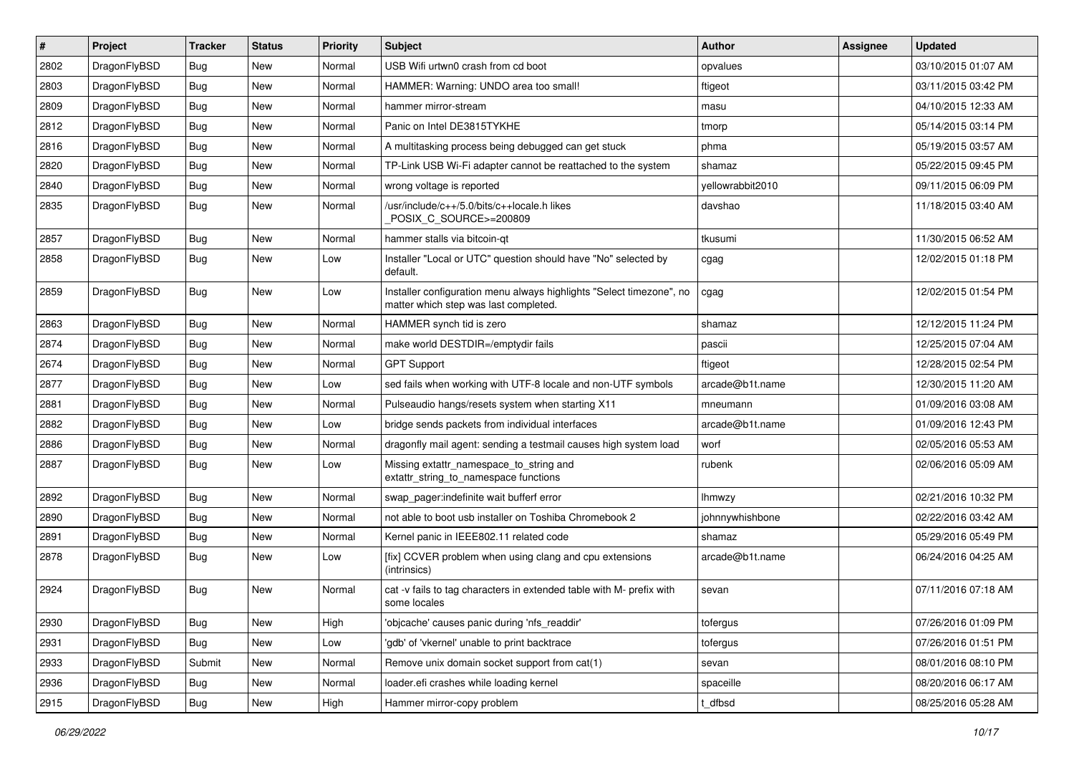| $\sharp$ | Project      | <b>Tracker</b> | <b>Status</b> | <b>Priority</b> | Subject                                                                                                       | Author           | Assignee | <b>Updated</b>      |
|----------|--------------|----------------|---------------|-----------------|---------------------------------------------------------------------------------------------------------------|------------------|----------|---------------------|
| 2802     | DragonFlyBSD | Bug            | <b>New</b>    | Normal          | USB Wifi urtwn0 crash from cd boot                                                                            | opvalues         |          | 03/10/2015 01:07 AM |
| 2803     | DragonFlyBSD | Bug            | <b>New</b>    | Normal          | HAMMER: Warning: UNDO area too small!                                                                         | ftigeot          |          | 03/11/2015 03:42 PM |
| 2809     | DragonFlyBSD | <b>Bug</b>     | <b>New</b>    | Normal          | hammer mirror-stream                                                                                          | masu             |          | 04/10/2015 12:33 AM |
| 2812     | DragonFlyBSD | <b>Bug</b>     | New           | Normal          | Panic on Intel DE3815TYKHE                                                                                    | tmorp            |          | 05/14/2015 03:14 PM |
| 2816     | DragonFlyBSD | Bug            | <b>New</b>    | Normal          | A multitasking process being debugged can get stuck                                                           | phma             |          | 05/19/2015 03:57 AM |
| 2820     | DragonFlyBSD | Bug            | New           | Normal          | TP-Link USB Wi-Fi adapter cannot be reattached to the system                                                  | shamaz           |          | 05/22/2015 09:45 PM |
| 2840     | DragonFlyBSD | <b>Bug</b>     | <b>New</b>    | Normal          | wrong voltage is reported                                                                                     | yellowrabbit2010 |          | 09/11/2015 06:09 PM |
| 2835     | DragonFlyBSD | <b>Bug</b>     | <b>New</b>    | Normal          | /usr/include/c++/5.0/bits/c++locale.h likes<br>POSIX_C_SOURCE>=200809                                         | davshao          |          | 11/18/2015 03:40 AM |
| 2857     | DragonFlyBSD | <b>Bug</b>     | New           | Normal          | hammer stalls via bitcoin-qt                                                                                  | tkusumi          |          | 11/30/2015 06:52 AM |
| 2858     | DragonFlyBSD | <b>Bug</b>     | <b>New</b>    | Low             | Installer "Local or UTC" question should have "No" selected by<br>default.                                    | cgag             |          | 12/02/2015 01:18 PM |
| 2859     | DragonFlyBSD | <b>Bug</b>     | New           | Low             | Installer configuration menu always highlights "Select timezone", no<br>matter which step was last completed. | cgag             |          | 12/02/2015 01:54 PM |
| 2863     | DragonFlyBSD | Bug            | <b>New</b>    | Normal          | HAMMER synch tid is zero                                                                                      | shamaz           |          | 12/12/2015 11:24 PM |
| 2874     | DragonFlyBSD | <b>Bug</b>     | <b>New</b>    | Normal          | make world DESTDIR=/emptydir fails                                                                            | pascii           |          | 12/25/2015 07:04 AM |
| 2674     | DragonFlyBSD | <b>Bug</b>     | <b>New</b>    | Normal          | <b>GPT Support</b>                                                                                            | ftigeot          |          | 12/28/2015 02:54 PM |
| 2877     | DragonFlyBSD | Bug            | <b>New</b>    | Low             | sed fails when working with UTF-8 locale and non-UTF symbols                                                  | arcade@b1t.name  |          | 12/30/2015 11:20 AM |
| 2881     | DragonFlyBSD | <b>Bug</b>     | <b>New</b>    | Normal          | Pulseaudio hangs/resets system when starting X11                                                              | mneumann         |          | 01/09/2016 03:08 AM |
| 2882     | DragonFlyBSD | Bug            | <b>New</b>    | Low             | bridge sends packets from individual interfaces                                                               | arcade@b1t.name  |          | 01/09/2016 12:43 PM |
| 2886     | DragonFlyBSD | <b>Bug</b>     | <b>New</b>    | Normal          | dragonfly mail agent: sending a testmail causes high system load                                              | worf             |          | 02/05/2016 05:53 AM |
| 2887     | DragonFlyBSD | <b>Bug</b>     | New           | Low             | Missing extattr_namespace_to_string and<br>extattr_string_to_namespace functions                              | rubenk           |          | 02/06/2016 05:09 AM |
| 2892     | DragonFlyBSD | Bug            | <b>New</b>    | Normal          | swap_pager:indefinite wait bufferf error                                                                      | <b>Ihmwzy</b>    |          | 02/21/2016 10:32 PM |
| 2890     | DragonFlyBSD | <b>Bug</b>     | <b>New</b>    | Normal          | not able to boot usb installer on Toshiba Chromebook 2                                                        | johnnywhishbone  |          | 02/22/2016 03:42 AM |
| 2891     | DragonFlyBSD | Bug            | <b>New</b>    | Normal          | Kernel panic in IEEE802.11 related code                                                                       | shamaz           |          | 05/29/2016 05:49 PM |
| 2878     | DragonFlyBSD | <b>Bug</b>     | <b>New</b>    | Low             | [fix] CCVER problem when using clang and cpu extensions<br>(intrinsics)                                       | arcade@b1t.name  |          | 06/24/2016 04:25 AM |
| 2924     | DragonFlyBSD | <b>Bug</b>     | <b>New</b>    | Normal          | cat -v fails to tag characters in extended table with M- prefix with<br>some locales                          | sevan            |          | 07/11/2016 07:18 AM |
| 2930     | DragonFlyBSD | Bug            | New           | High            | 'objcache' causes panic during 'nfs_readdir'                                                                  | tofergus         |          | 07/26/2016 01:09 PM |
| 2931     | DragonFlyBSD | Bug            | New           | Low             | 'gdb' of 'vkernel' unable to print backtrace                                                                  | tofergus         |          | 07/26/2016 01:51 PM |
| 2933     | DragonFlyBSD | Submit         | New           | Normal          | Remove unix domain socket support from cat(1)                                                                 | sevan            |          | 08/01/2016 08:10 PM |
| 2936     | DragonFlyBSD | <b>Bug</b>     | New           | Normal          | loader.efi crashes while loading kernel                                                                       | spaceille        |          | 08/20/2016 06:17 AM |
| 2915     | DragonFlyBSD | <b>Bug</b>     | New           | High            | Hammer mirror-copy problem                                                                                    | t_dfbsd          |          | 08/25/2016 05:28 AM |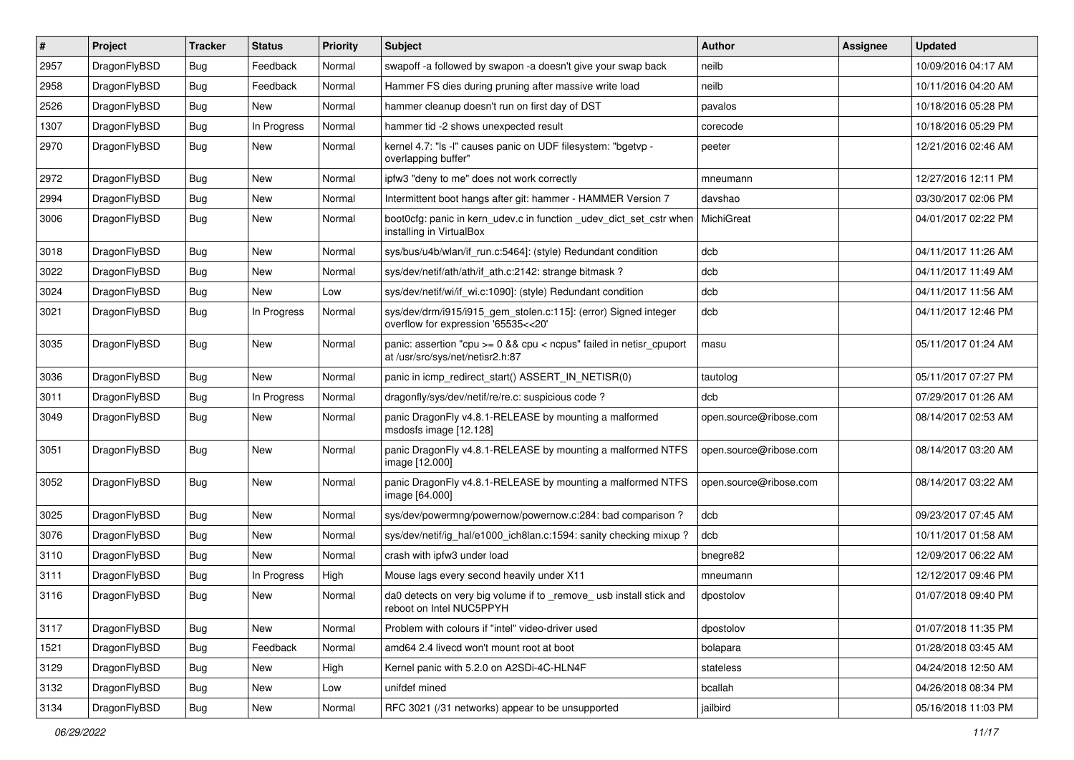| $\sharp$ | Project      | <b>Tracker</b> | <b>Status</b> | <b>Priority</b> | Subject                                                                                                 | <b>Author</b>          | <b>Assignee</b> | <b>Updated</b>      |
|----------|--------------|----------------|---------------|-----------------|---------------------------------------------------------------------------------------------------------|------------------------|-----------------|---------------------|
| 2957     | DragonFlyBSD | <b>Bug</b>     | Feedback      | Normal          | swapoff -a followed by swapon -a doesn't give your swap back                                            | neilb                  |                 | 10/09/2016 04:17 AM |
| 2958     | DragonFlyBSD | <b>Bug</b>     | Feedback      | Normal          | Hammer FS dies during pruning after massive write load                                                  | neilb                  |                 | 10/11/2016 04:20 AM |
| 2526     | DragonFlyBSD | Bug            | New           | Normal          | hammer cleanup doesn't run on first day of DST                                                          | pavalos                |                 | 10/18/2016 05:28 PM |
| 1307     | DragonFlyBSD | Bug            | In Progress   | Normal          | hammer tid -2 shows unexpected result                                                                   | corecode               |                 | 10/18/2016 05:29 PM |
| 2970     | DragonFlyBSD | <b>Bug</b>     | New           | Normal          | kernel 4.7: "Is -I" causes panic on UDF filesystem: "bgetvp -<br>overlapping buffer"                    | peeter                 |                 | 12/21/2016 02:46 AM |
| 2972     | DragonFlyBSD | <b>Bug</b>     | New           | Normal          | ipfw3 "deny to me" does not work correctly                                                              | mneumann               |                 | 12/27/2016 12:11 PM |
| 2994     | DragonFlyBSD | Bug            | New           | Normal          | Intermittent boot hangs after git: hammer - HAMMER Version 7                                            | davshao                |                 | 03/30/2017 02:06 PM |
| 3006     | DragonFlyBSD | <b>Bug</b>     | New           | Normal          | boot0cfg: panic in kern_udev.c in function _udev_dict_set_cstr when<br>installing in VirtualBox         | MichiGreat             |                 | 04/01/2017 02:22 PM |
| 3018     | DragonFlyBSD | <b>Bug</b>     | New           | Normal          | sys/bus/u4b/wlan/if run.c:5464]: (style) Redundant condition                                            | dcb                    |                 | 04/11/2017 11:26 AM |
| 3022     | DragonFlyBSD | Bug            | New           | Normal          | sys/dev/netif/ath/ath/if ath.c:2142: strange bitmask?                                                   | dcb                    |                 | 04/11/2017 11:49 AM |
| 3024     | DragonFlyBSD | <b>Bug</b>     | New           | Low             | sys/dev/netif/wi/if_wi.c:1090]: (style) Redundant condition                                             | dcb                    |                 | 04/11/2017 11:56 AM |
| 3021     | DragonFlyBSD | <b>Bug</b>     | In Progress   | Normal          | sys/dev/drm/i915/i915_gem_stolen.c:115]: (error) Signed integer<br>overflow for expression '65535<<20'  | dcb                    |                 | 04/11/2017 12:46 PM |
| 3035     | DragonFlyBSD | Bug            | New           | Normal          | panic: assertion "cpu >= 0 && cpu < ncpus" failed in netisr_cpuport<br>at /usr/src/sys/net/netisr2.h:87 | masu                   |                 | 05/11/2017 01:24 AM |
| 3036     | DragonFlyBSD | <b>Bug</b>     | <b>New</b>    | Normal          | panic in icmp_redirect_start() ASSERT_IN_NETISR(0)                                                      | tautolog               |                 | 05/11/2017 07:27 PM |
| 3011     | DragonFlyBSD | Bug            | In Progress   | Normal          | dragonfly/sys/dev/netif/re/re.c: suspicious code?                                                       | dcb                    |                 | 07/29/2017 01:26 AM |
| 3049     | DragonFlyBSD | Bug            | New           | Normal          | panic DragonFly v4.8.1-RELEASE by mounting a malformed<br>msdosfs image [12.128]                        | open.source@ribose.com |                 | 08/14/2017 02:53 AM |
| 3051     | DragonFlyBSD | Bug            | New           | Normal          | panic DragonFly v4.8.1-RELEASE by mounting a malformed NTFS<br>image [12.000]                           | open.source@ribose.com |                 | 08/14/2017 03:20 AM |
| 3052     | DragonFlyBSD | Bug            | <b>New</b>    | Normal          | panic DragonFly v4.8.1-RELEASE by mounting a malformed NTFS<br>image [64.000]                           | open.source@ribose.com |                 | 08/14/2017 03:22 AM |
| 3025     | DragonFlyBSD | <b>Bug</b>     | <b>New</b>    | Normal          | sys/dev/powermng/powernow/powernow.c:284: bad comparison ?                                              | dcb                    |                 | 09/23/2017 07:45 AM |
| 3076     | DragonFlyBSD | Bug            | New           | Normal          | sys/dev/netif/ig_hal/e1000_ich8lan.c:1594: sanity checking mixup ?                                      | dcb                    |                 | 10/11/2017 01:58 AM |
| 3110     | DragonFlyBSD | <b>Bug</b>     | New           | Normal          | crash with ipfw3 under load                                                                             | bnegre82               |                 | 12/09/2017 06:22 AM |
| 3111     | DragonFlyBSD | <b>Bug</b>     | In Progress   | High            | Mouse lags every second heavily under X11                                                               | mneumann               |                 | 12/12/2017 09:46 PM |
| 3116     | DragonFlyBSD | <b>Bug</b>     | New           | Normal          | da0 detects on very big volume if to remove usb install stick and<br>reboot on Intel NUC5PPYH           | dpostolov              |                 | 01/07/2018 09:40 PM |
| 3117     | DragonFlyBSD | <b>Bug</b>     | New           | Normal          | Problem with colours if "intel" video-driver used                                                       | dpostolov              |                 | 01/07/2018 11:35 PM |
| 1521     | DragonFlyBSD | <b>Bug</b>     | Feedback      | Normal          | amd64 2.4 livecd won't mount root at boot                                                               | bolapara               |                 | 01/28/2018 03:45 AM |
| 3129     | DragonFlyBSD | Bug            | New           | High            | Kernel panic with 5.2.0 on A2SDi-4C-HLN4F                                                               | stateless              |                 | 04/24/2018 12:50 AM |
| 3132     | DragonFlyBSD | <b>Bug</b>     | New           | Low             | unifdef mined                                                                                           | bcallah                |                 | 04/26/2018 08:34 PM |
| 3134     | DragonFlyBSD | <b>Bug</b>     | New           | Normal          | RFC 3021 (/31 networks) appear to be unsupported                                                        | jailbird               |                 | 05/16/2018 11:03 PM |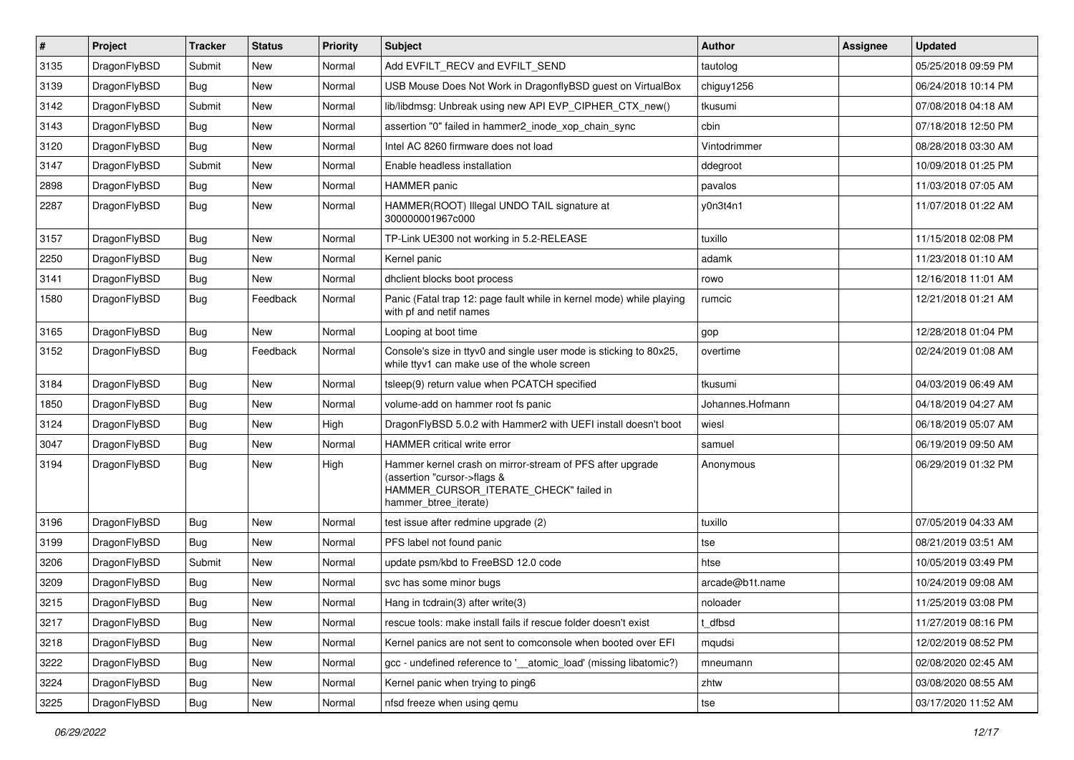| $\sharp$ | Project      | <b>Tracker</b> | <b>Status</b> | Priority | Subject                                                                                                                                                     | <b>Author</b>    | Assignee | <b>Updated</b>      |
|----------|--------------|----------------|---------------|----------|-------------------------------------------------------------------------------------------------------------------------------------------------------------|------------------|----------|---------------------|
| 3135     | DragonFlyBSD | Submit         | New           | Normal   | Add EVFILT_RECV and EVFILT_SEND                                                                                                                             | tautolog         |          | 05/25/2018 09:59 PM |
| 3139     | DragonFlyBSD | Bug            | <b>New</b>    | Normal   | USB Mouse Does Not Work in DragonflyBSD guest on VirtualBox                                                                                                 | chiguy1256       |          | 06/24/2018 10:14 PM |
| 3142     | DragonFlyBSD | Submit         | New           | Normal   | lib/libdmsg: Unbreak using new API EVP_CIPHER_CTX_new()                                                                                                     | tkusumi          |          | 07/08/2018 04:18 AM |
| 3143     | DragonFlyBSD | Bug            | <b>New</b>    | Normal   | assertion "0" failed in hammer2_inode_xop_chain_sync                                                                                                        | cbin             |          | 07/18/2018 12:50 PM |
| 3120     | DragonFlyBSD | Bug            | <b>New</b>    | Normal   | Intel AC 8260 firmware does not load                                                                                                                        | Vintodrimmer     |          | 08/28/2018 03:30 AM |
| 3147     | DragonFlyBSD | Submit         | <b>New</b>    | Normal   | Enable headless installation                                                                                                                                | ddegroot         |          | 10/09/2018 01:25 PM |
| 2898     | DragonFlyBSD | Bug            | New           | Normal   | <b>HAMMER</b> panic                                                                                                                                         | pavalos          |          | 11/03/2018 07:05 AM |
| 2287     | DragonFlyBSD | Bug            | <b>New</b>    | Normal   | HAMMER(ROOT) Illegal UNDO TAIL signature at<br>300000001967c000                                                                                             | y0n3t4n1         |          | 11/07/2018 01:22 AM |
| 3157     | DragonFlyBSD | Bug            | <b>New</b>    | Normal   | TP-Link UE300 not working in 5.2-RELEASE                                                                                                                    | tuxillo          |          | 11/15/2018 02:08 PM |
| 2250     | DragonFlyBSD | <b>Bug</b>     | New           | Normal   | Kernel panic                                                                                                                                                | adamk            |          | 11/23/2018 01:10 AM |
| 3141     | DragonFlyBSD | <b>Bug</b>     | New           | Normal   | dhclient blocks boot process                                                                                                                                | rowo             |          | 12/16/2018 11:01 AM |
| 1580     | DragonFlyBSD | Bug            | Feedback      | Normal   | Panic (Fatal trap 12: page fault while in kernel mode) while playing<br>with pf and netif names                                                             | rumcic           |          | 12/21/2018 01:21 AM |
| 3165     | DragonFlyBSD | Bug            | New           | Normal   | Looping at boot time                                                                                                                                        | gop              |          | 12/28/2018 01:04 PM |
| 3152     | DragonFlyBSD | Bug            | Feedback      | Normal   | Console's size in ttyv0 and single user mode is sticking to 80x25,<br>while ttyv1 can make use of the whole screen                                          | overtime         |          | 02/24/2019 01:08 AM |
| 3184     | DragonFlyBSD | Bug            | New           | Normal   | tsleep(9) return value when PCATCH specified                                                                                                                | tkusumi          |          | 04/03/2019 06:49 AM |
| 1850     | DragonFlyBSD | <b>Bug</b>     | <b>New</b>    | Normal   | volume-add on hammer root fs panic                                                                                                                          | Johannes.Hofmann |          | 04/18/2019 04:27 AM |
| 3124     | DragonFlyBSD | <b>Bug</b>     | New           | High     | DragonFlyBSD 5.0.2 with Hammer2 with UEFI install doesn't boot                                                                                              | wiesl            |          | 06/18/2019 05:07 AM |
| 3047     | DragonFlyBSD | Bug            | <b>New</b>    | Normal   | HAMMER critical write error                                                                                                                                 | samuel           |          | 06/19/2019 09:50 AM |
| 3194     | DragonFlyBSD | Bug            | <b>New</b>    | High     | Hammer kernel crash on mirror-stream of PFS after upgrade<br>(assertion "cursor->flags &<br>HAMMER_CURSOR_ITERATE_CHECK" failed in<br>hammer_btree_iterate) | Anonymous        |          | 06/29/2019 01:32 PM |
| 3196     | DragonFlyBSD | Bug            | <b>New</b>    | Normal   | test issue after redmine upgrade (2)                                                                                                                        | tuxillo          |          | 07/05/2019 04:33 AM |
| 3199     | DragonFlyBSD | Bug            | New           | Normal   | PFS label not found panic                                                                                                                                   | tse              |          | 08/21/2019 03:51 AM |
| 3206     | DragonFlyBSD | Submit         | New           | Normal   | update psm/kbd to FreeBSD 12.0 code                                                                                                                         | htse             |          | 10/05/2019 03:49 PM |
| 3209     | DragonFlyBSD | Bug            | <b>New</b>    | Normal   | svc has some minor bugs                                                                                                                                     | arcade@b1t.name  |          | 10/24/2019 09:08 AM |
| 3215     | DragonFlyBSD | Bug            | <b>New</b>    | Normal   | Hang in todrain(3) after write(3)                                                                                                                           | noloader         |          | 11/25/2019 03:08 PM |
| 3217     | DragonFlyBSD | <b>Bug</b>     | New           | Normal   | rescue tools: make install fails if rescue folder doesn't exist                                                                                             | t_dfbsd          |          | 11/27/2019 08:16 PM |
| 3218     | DragonFlyBSD | <b>Bug</b>     | New           | Normal   | Kernel panics are not sent to comconsole when booted over EFI                                                                                               | mqudsi           |          | 12/02/2019 08:52 PM |
| 3222     | DragonFlyBSD | <b>Bug</b>     | New           | Normal   | gcc - undefined reference to '__atomic_load' (missing libatomic?)                                                                                           | mneumann         |          | 02/08/2020 02:45 AM |
| 3224     | DragonFlyBSD | <b>Bug</b>     | New           | Normal   | Kernel panic when trying to ping6                                                                                                                           | zhtw             |          | 03/08/2020 08:55 AM |
| 3225     | DragonFlyBSD | <b>Bug</b>     | New           | Normal   | nfsd freeze when using qemu                                                                                                                                 | tse              |          | 03/17/2020 11:52 AM |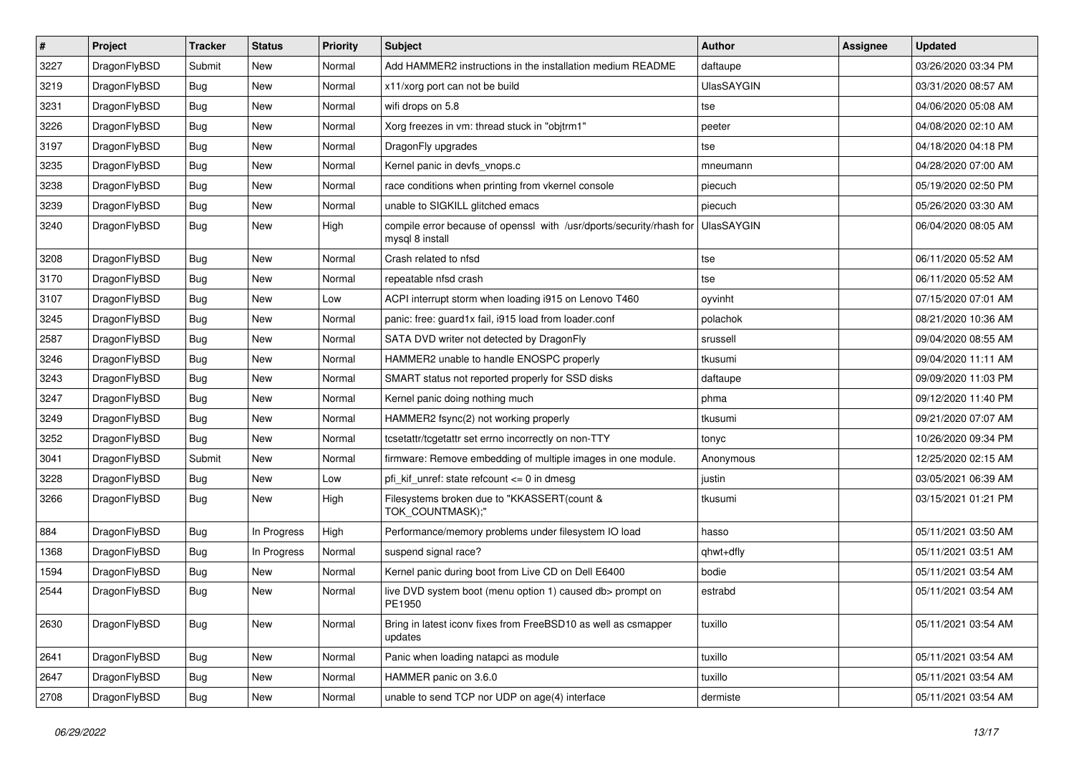| $\sharp$ | Project      | <b>Tracker</b> | <b>Status</b> | <b>Priority</b> | Subject                                                                                 | <b>Author</b>     | Assignee | <b>Updated</b>      |
|----------|--------------|----------------|---------------|-----------------|-----------------------------------------------------------------------------------------|-------------------|----------|---------------------|
| 3227     | DragonFlyBSD | Submit         | New           | Normal          | Add HAMMER2 instructions in the installation medium README                              | daftaupe          |          | 03/26/2020 03:34 PM |
| 3219     | DragonFlyBSD | Bug            | <b>New</b>    | Normal          | x11/xorg port can not be build                                                          | <b>UlasSAYGIN</b> |          | 03/31/2020 08:57 AM |
| 3231     | DragonFlyBSD | Bug            | <b>New</b>    | Normal          | wifi drops on 5.8                                                                       | tse               |          | 04/06/2020 05:08 AM |
| 3226     | DragonFlyBSD | Bug            | New           | Normal          | Xorg freezes in vm: thread stuck in "objtrm1"                                           | peeter            |          | 04/08/2020 02:10 AM |
| 3197     | DragonFlyBSD | Bug            | <b>New</b>    | Normal          | DragonFly upgrades                                                                      | tse               |          | 04/18/2020 04:18 PM |
| 3235     | DragonFlyBSD | <b>Bug</b>     | <b>New</b>    | Normal          | Kernel panic in devfs vnops.c                                                           | mneumann          |          | 04/28/2020 07:00 AM |
| 3238     | DragonFlyBSD | Bug            | New           | Normal          | race conditions when printing from vkernel console                                      | piecuch           |          | 05/19/2020 02:50 PM |
| 3239     | DragonFlyBSD | <b>Bug</b>     | <b>New</b>    | Normal          | unable to SIGKILL glitched emacs                                                        | piecuch           |          | 05/26/2020 03:30 AM |
| 3240     | DragonFlyBSD | Bug            | New           | High            | compile error because of openssl with /usr/dports/security/rhash for<br>mysql 8 install | <b>UlasSAYGIN</b> |          | 06/04/2020 08:05 AM |
| 3208     | DragonFlyBSD | Bug            | <b>New</b>    | Normal          | Crash related to nfsd                                                                   | tse               |          | 06/11/2020 05:52 AM |
| 3170     | DragonFlyBSD | Bug            | New           | Normal          | repeatable nfsd crash                                                                   | tse               |          | 06/11/2020 05:52 AM |
| 3107     | DragonFlyBSD | Bug            | <b>New</b>    | Low             | ACPI interrupt storm when loading i915 on Lenovo T460                                   | oyvinht           |          | 07/15/2020 07:01 AM |
| 3245     | DragonFlyBSD | <b>Bug</b>     | <b>New</b>    | Normal          | panic: free: guard1x fail, i915 load from loader.conf                                   | polachok          |          | 08/21/2020 10:36 AM |
| 2587     | DragonFlyBSD | Bug            | New           | Normal          | SATA DVD writer not detected by DragonFly                                               | srussell          |          | 09/04/2020 08:55 AM |
| 3246     | DragonFlyBSD | Bug            | <b>New</b>    | Normal          | HAMMER2 unable to handle ENOSPC properly                                                | tkusumi           |          | 09/04/2020 11:11 AM |
| 3243     | DragonFlyBSD | <b>Bug</b>     | New           | Normal          | SMART status not reported properly for SSD disks                                        | daftaupe          |          | 09/09/2020 11:03 PM |
| 3247     | DragonFlyBSD | Bug            | <b>New</b>    | Normal          | Kernel panic doing nothing much                                                         | phma              |          | 09/12/2020 11:40 PM |
| 3249     | DragonFlyBSD | Bug            | New           | Normal          | HAMMER2 fsync(2) not working properly                                                   | tkusumi           |          | 09/21/2020 07:07 AM |
| 3252     | DragonFlyBSD | Bug            | <b>New</b>    | Normal          | tcsetattr/tcgetattr set errno incorrectly on non-TTY                                    | tonyc             |          | 10/26/2020 09:34 PM |
| 3041     | DragonFlyBSD | Submit         | New           | Normal          | firmware: Remove embedding of multiple images in one module.                            | Anonymous         |          | 12/25/2020 02:15 AM |
| 3228     | DragonFlyBSD | Bug            | New           | Low             | pfi_kif_unref: state refcount <= 0 in dmesg                                             | justin            |          | 03/05/2021 06:39 AM |
| 3266     | DragonFlyBSD | <b>Bug</b>     | New           | High            | Filesystems broken due to "KKASSERT(count &<br>TOK_COUNTMASK);"                         | tkusumi           |          | 03/15/2021 01:21 PM |
| 884      | DragonFlyBSD | <b>Bug</b>     | In Progress   | High            | Performance/memory problems under filesystem IO load                                    | hasso             |          | 05/11/2021 03:50 AM |
| 1368     | DragonFlyBSD | Bug            | In Progress   | Normal          | suspend signal race?                                                                    | qhwt+dfly         |          | 05/11/2021 03:51 AM |
| 1594     | DragonFlyBSD | Bug            | <b>New</b>    | Normal          | Kernel panic during boot from Live CD on Dell E6400                                     | bodie             |          | 05/11/2021 03:54 AM |
| 2544     | DragonFlyBSD | Bug            | New           | Normal          | live DVD system boot (menu option 1) caused db> prompt on<br>PE1950                     | estrabd           |          | 05/11/2021 03:54 AM |
| 2630     | DragonFlyBSD | Bug            | <b>New</b>    | Normal          | Bring in latest iconv fixes from FreeBSD10 as well as csmapper<br>updates               | tuxillo           |          | 05/11/2021 03:54 AM |
| 2641     | DragonFlyBSD | Bug            | New           | Normal          | Panic when loading natapci as module                                                    | tuxillo           |          | 05/11/2021 03:54 AM |
| 2647     | DragonFlyBSD | <b>Bug</b>     | <b>New</b>    | Normal          | HAMMER panic on 3.6.0                                                                   | tuxillo           |          | 05/11/2021 03:54 AM |
| 2708     | DragonFlyBSD | Bug            | New           | Normal          | unable to send TCP nor UDP on age(4) interface                                          | dermiste          |          | 05/11/2021 03:54 AM |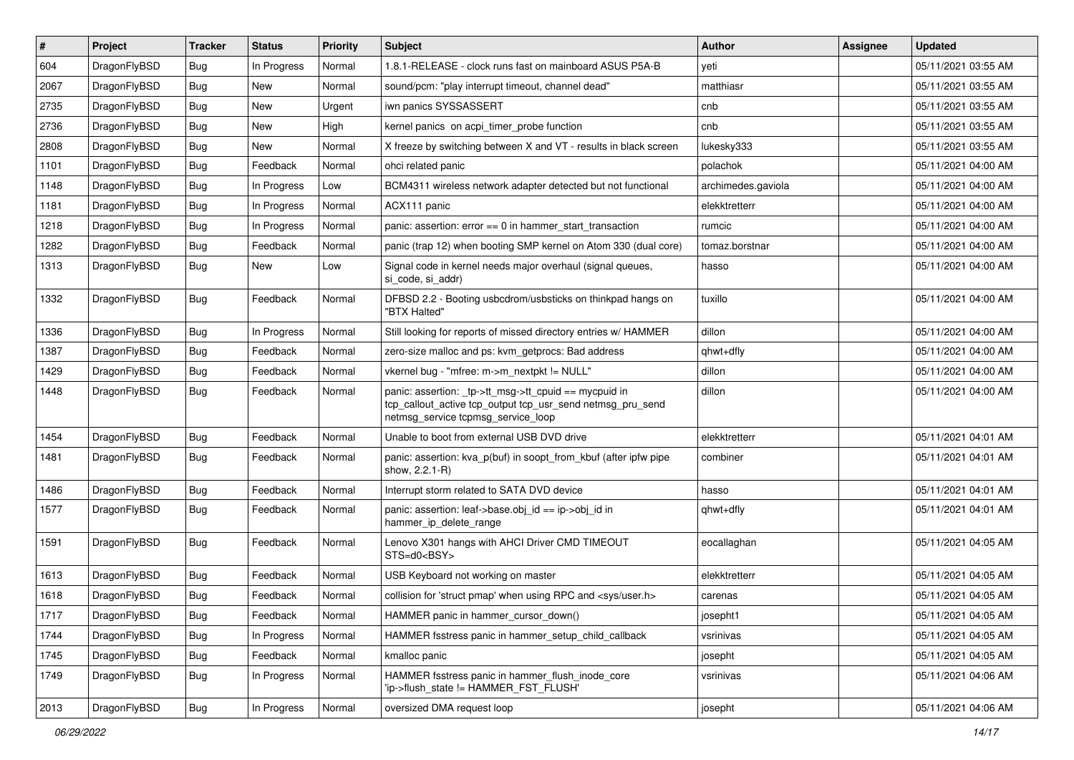| #    | Project      | <b>Tracker</b> | <b>Status</b> | <b>Priority</b> | <b>Subject</b>                                                                                                                                            | Author             | <b>Assignee</b> | <b>Updated</b>      |
|------|--------------|----------------|---------------|-----------------|-----------------------------------------------------------------------------------------------------------------------------------------------------------|--------------------|-----------------|---------------------|
| 604  | DragonFlyBSD | Bug            | In Progress   | Normal          | 1.8.1-RELEASE - clock runs fast on mainboard ASUS P5A-B                                                                                                   | yeti               |                 | 05/11/2021 03:55 AM |
| 2067 | DragonFlyBSD | Bug            | <b>New</b>    | Normal          | sound/pcm: "play interrupt timeout, channel dead"                                                                                                         | matthiasr          |                 | 05/11/2021 03:55 AM |
| 2735 | DragonFlyBSD | Bug            | New           | Urgent          | iwn panics SYSSASSERT                                                                                                                                     | cnb                |                 | 05/11/2021 03:55 AM |
| 2736 | DragonFlyBSD | Bug            | <b>New</b>    | High            | kernel panics on acpi_timer_probe function                                                                                                                | cnb                |                 | 05/11/2021 03:55 AM |
| 2808 | DragonFlyBSD | Bug            | <b>New</b>    | Normal          | X freeze by switching between X and VT - results in black screen                                                                                          | lukesky333         |                 | 05/11/2021 03:55 AM |
| 1101 | DragonFlyBSD | <b>Bug</b>     | Feedback      | Normal          | ohci related panic                                                                                                                                        | polachok           |                 | 05/11/2021 04:00 AM |
| 1148 | DragonFlyBSD | Bug            | In Progress   | Low             | BCM4311 wireless network adapter detected but not functional                                                                                              | archimedes.gaviola |                 | 05/11/2021 04:00 AM |
| 1181 | DragonFlyBSD | <b>Bug</b>     | In Progress   | Normal          | ACX111 panic                                                                                                                                              | elekktretterr      |                 | 05/11/2021 04:00 AM |
| 1218 | DragonFlyBSD | <b>Bug</b>     | In Progress   | Normal          | panic: assertion: $error == 0$ in hammer start transaction                                                                                                | rumcic             |                 | 05/11/2021 04:00 AM |
| 1282 | DragonFlyBSD | Bug            | Feedback      | Normal          | panic (trap 12) when booting SMP kernel on Atom 330 (dual core)                                                                                           | tomaz.borstnar     |                 | 05/11/2021 04:00 AM |
| 1313 | DragonFlyBSD | <b>Bug</b>     | New           | Low             | Signal code in kernel needs major overhaul (signal queues,<br>si_code, si_addr)                                                                           | hasso              |                 | 05/11/2021 04:00 AM |
| 1332 | DragonFlyBSD | <b>Bug</b>     | Feedback      | Normal          | DFBSD 2.2 - Booting usbcdrom/usbsticks on thinkpad hangs on<br>"BTX Halted"                                                                               | tuxillo            |                 | 05/11/2021 04:00 AM |
| 1336 | DragonFlyBSD | Bug            | In Progress   | Normal          | Still looking for reports of missed directory entries w/ HAMMER                                                                                           | dillon             |                 | 05/11/2021 04:00 AM |
| 1387 | DragonFlyBSD | <b>Bug</b>     | Feedback      | Normal          | zero-size malloc and ps: kvm_getprocs: Bad address                                                                                                        | qhwt+dfly          |                 | 05/11/2021 04:00 AM |
| 1429 | DragonFlyBSD | Bug            | Feedback      | Normal          | vkernel bug - "mfree: m->m_nextpkt != NULL"                                                                                                               | dillon             |                 | 05/11/2021 04:00 AM |
| 1448 | DragonFlyBSD | Bug            | Feedback      | Normal          | panic: assertion: _tp->tt_msg->tt_cpuid == mycpuid in<br>tcp_callout_active tcp_output tcp_usr_send netmsg_pru_send<br>netmsg_service tcpmsg_service_loop | dillon             |                 | 05/11/2021 04:00 AM |
| 1454 | DragonFlyBSD | <b>Bug</b>     | Feedback      | Normal          | Unable to boot from external USB DVD drive                                                                                                                | elekktretterr      |                 | 05/11/2021 04:01 AM |
| 1481 | DragonFlyBSD | Bug            | Feedback      | Normal          | panic: assertion: kva p(buf) in soopt from kbuf (after ipfw pipe<br>show, 2.2.1-R)                                                                        | combiner           |                 | 05/11/2021 04:01 AM |
| 1486 | DragonFlyBSD | Bug            | Feedback      | Normal          | Interrupt storm related to SATA DVD device                                                                                                                | hasso              |                 | 05/11/2021 04:01 AM |
| 1577 | DragonFlyBSD | <b>Bug</b>     | Feedback      | Normal          | panic: assertion: leaf->base.obj id == ip->obj id in<br>hammer_ip_delete_range                                                                            | qhwt+dfly          |                 | 05/11/2021 04:01 AM |
| 1591 | DragonFlyBSD | <b>Bug</b>     | Feedback      | Normal          | Lenovo X301 hangs with AHCI Driver CMD TIMEOUT<br>STS=d0 <bsy></bsy>                                                                                      | eocallaghan        |                 | 05/11/2021 04:05 AM |
| 1613 | DragonFlyBSD | Bug            | Feedback      | Normal          | USB Keyboard not working on master                                                                                                                        | elekktretterr      |                 | 05/11/2021 04:05 AM |
| 1618 | DragonFlyBSD | <b>Bug</b>     | Feedback      | Normal          | collision for 'struct pmap' when using RPC and <sys user.h=""></sys>                                                                                      | carenas            |                 | 05/11/2021 04:05 AM |
| 1717 | DragonFlyBSD | <b>Bug</b>     | Feedback      | Normal          | HAMMER panic in hammer_cursor_down()                                                                                                                      | josepht1           |                 | 05/11/2021 04:05 AM |
| 1744 | DragonFlyBSD | <b>Bug</b>     | In Progress   | Normal          | HAMMER fsstress panic in hammer_setup_child_callback                                                                                                      | vsrinivas          |                 | 05/11/2021 04:05 AM |
| 1745 | DragonFlyBSD | <b>Bug</b>     | Feedback      | Normal          | kmalloc panic                                                                                                                                             | josepht            |                 | 05/11/2021 04:05 AM |
| 1749 | DragonFlyBSD | <b>Bug</b>     | In Progress   | Normal          | HAMMER fsstress panic in hammer flush inode core<br>'ip->flush_state != HAMMER_FST_FLUSH'                                                                 | vsrinivas          |                 | 05/11/2021 04:06 AM |
| 2013 | DragonFlyBSD | <b>Bug</b>     | In Progress   | Normal          | oversized DMA request loop                                                                                                                                | josepht            |                 | 05/11/2021 04:06 AM |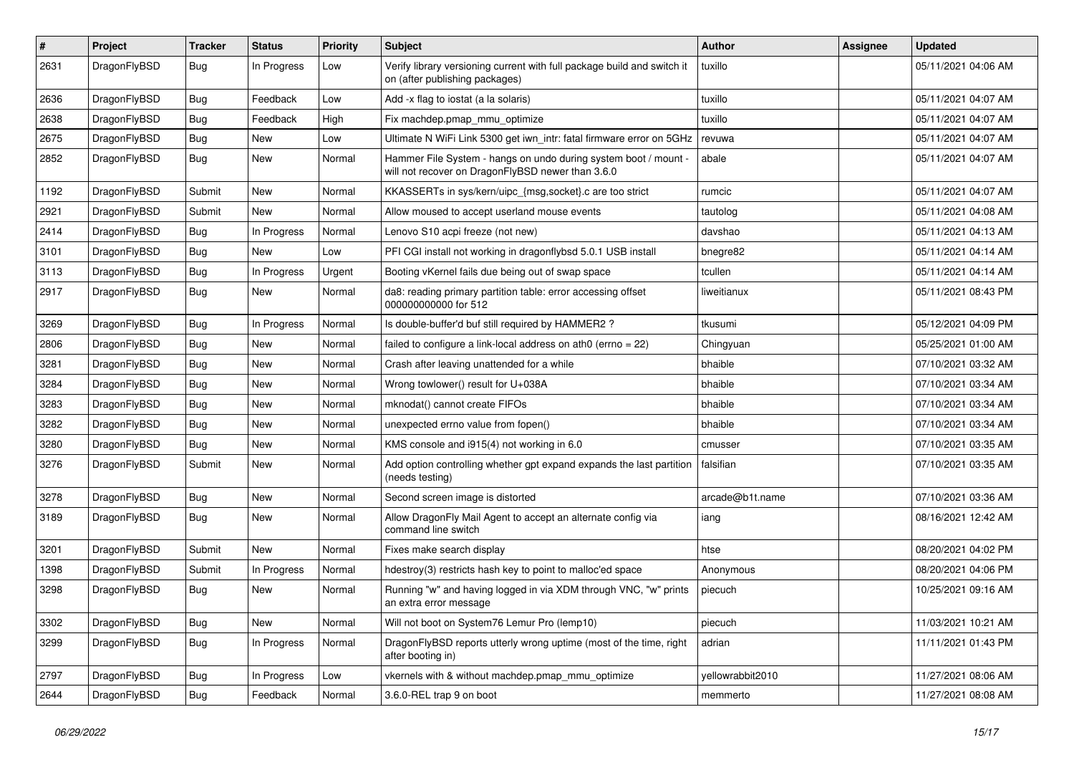| #    | Project      | <b>Tracker</b> | <b>Status</b> | <b>Priority</b> | Subject                                                                                                              | Author           | Assignee | <b>Updated</b>      |
|------|--------------|----------------|---------------|-----------------|----------------------------------------------------------------------------------------------------------------------|------------------|----------|---------------------|
| 2631 | DragonFlyBSD | <b>Bug</b>     | In Progress   | Low             | Verify library versioning current with full package build and switch it<br>on (after publishing packages)            | tuxillo          |          | 05/11/2021 04:06 AM |
| 2636 | DragonFlyBSD | <b>Bug</b>     | Feedback      | Low             | Add -x flag to iostat (a la solaris)                                                                                 | tuxillo          |          | 05/11/2021 04:07 AM |
| 2638 | DragonFlyBSD | <b>Bug</b>     | Feedback      | High            | Fix machdep.pmap mmu optimize                                                                                        | tuxillo          |          | 05/11/2021 04:07 AM |
| 2675 | DragonFlyBSD | <b>Bug</b>     | <b>New</b>    | Low             | Ultimate N WiFi Link 5300 get iwn_intr: fatal firmware error on 5GHz                                                 | revuwa           |          | 05/11/2021 04:07 AM |
| 2852 | DragonFlyBSD | <b>Bug</b>     | New           | Normal          | Hammer File System - hangs on undo during system boot / mount -<br>will not recover on DragonFlyBSD newer than 3.6.0 | abale            |          | 05/11/2021 04:07 AM |
| 1192 | DragonFlyBSD | Submit         | New           | Normal          | KKASSERTs in sys/kern/uipc {msg,socket}.c are too strict                                                             | rumcic           |          | 05/11/2021 04:07 AM |
| 2921 | DragonFlyBSD | Submit         | New           | Normal          | Allow moused to accept userland mouse events                                                                         | tautolog         |          | 05/11/2021 04:08 AM |
| 2414 | DragonFlyBSD | <b>Bug</b>     | In Progress   | Normal          | Lenovo S10 acpi freeze (not new)                                                                                     | davshao          |          | 05/11/2021 04:13 AM |
| 3101 | DragonFlyBSD | <b>Bug</b>     | New           | Low             | PFI CGI install not working in dragonflybsd 5.0.1 USB install                                                        | bnegre82         |          | 05/11/2021 04:14 AM |
| 3113 | DragonFlyBSD | <b>Bug</b>     | In Progress   | Urgent          | Booting vKernel fails due being out of swap space                                                                    | tcullen          |          | 05/11/2021 04:14 AM |
| 2917 | DragonFlyBSD | <b>Bug</b>     | New           | Normal          | da8: reading primary partition table: error accessing offset<br>000000000000 for 512                                 | liweitianux      |          | 05/11/2021 08:43 PM |
| 3269 | DragonFlyBSD | <b>Bug</b>     | In Progress   | Normal          | Is double-buffer'd buf still required by HAMMER2 ?                                                                   | tkusumi          |          | 05/12/2021 04:09 PM |
| 2806 | DragonFlyBSD | <b>Bug</b>     | New           | Normal          | failed to configure a link-local address on ath $0$ (errno = 22)                                                     | Chingyuan        |          | 05/25/2021 01:00 AM |
| 3281 | DragonFlyBSD | <b>Bug</b>     | New           | Normal          | Crash after leaving unattended for a while                                                                           | bhaible          |          | 07/10/2021 03:32 AM |
| 3284 | DragonFlyBSD | <b>Bug</b>     | New           | Normal          | Wrong towlower() result for U+038A                                                                                   | bhaible          |          | 07/10/2021 03:34 AM |
| 3283 | DragonFlyBSD | <b>Bug</b>     | New           | Normal          | mknodat() cannot create FIFOs                                                                                        | bhaible          |          | 07/10/2021 03:34 AM |
| 3282 | DragonFlyBSD | <b>Bug</b>     | <b>New</b>    | Normal          | unexpected errno value from fopen()                                                                                  | bhaible          |          | 07/10/2021 03:34 AM |
| 3280 | DragonFlyBSD | <b>Bug</b>     | New           | Normal          | KMS console and i915(4) not working in 6.0                                                                           | cmusser          |          | 07/10/2021 03:35 AM |
| 3276 | DragonFlyBSD | Submit         | New           | Normal          | Add option controlling whether gpt expand expands the last partition<br>(needs testing)                              | falsifian        |          | 07/10/2021 03:35 AM |
| 3278 | DragonFlyBSD | Bug            | <b>New</b>    | Normal          | Second screen image is distorted                                                                                     | arcade@b1t.name  |          | 07/10/2021 03:36 AM |
| 3189 | DragonFlyBSD | <b>Bug</b>     | New           | Normal          | Allow DragonFly Mail Agent to accept an alternate config via<br>command line switch                                  | iang             |          | 08/16/2021 12:42 AM |
| 3201 | DragonFlyBSD | Submit         | <b>New</b>    | Normal          | Fixes make search display                                                                                            | htse             |          | 08/20/2021 04:02 PM |
| 1398 | DragonFlyBSD | Submit         | In Progress   | Normal          | hdestroy(3) restricts hash key to point to malloc'ed space                                                           | Anonymous        |          | 08/20/2021 04:06 PM |
| 3298 | DragonFlyBSD | <b>Bug</b>     | New           | Normal          | Running "w" and having logged in via XDM through VNC, "w" prints<br>an extra error message                           | piecuch          |          | 10/25/2021 09:16 AM |
| 3302 | DragonFlyBSD | <b>Bug</b>     | New           | Normal          | Will not boot on System76 Lemur Pro (lemp10)                                                                         | piecuch          |          | 11/03/2021 10:21 AM |
| 3299 | DragonFlyBSD | <b>Bug</b>     | In Progress   | Normal          | DragonFlyBSD reports utterly wrong uptime (most of the time, right<br>after booting in)                              | adrian           |          | 11/11/2021 01:43 PM |
| 2797 | DragonFlyBSD | <b>Bug</b>     | In Progress   | Low             | vkernels with & without machdep.pmap_mmu_optimize                                                                    | yellowrabbit2010 |          | 11/27/2021 08:06 AM |
| 2644 | DragonFlyBSD | Bug            | Feedback      | Normal          | 3.6.0-REL trap 9 on boot                                                                                             | memmerto         |          | 11/27/2021 08:08 AM |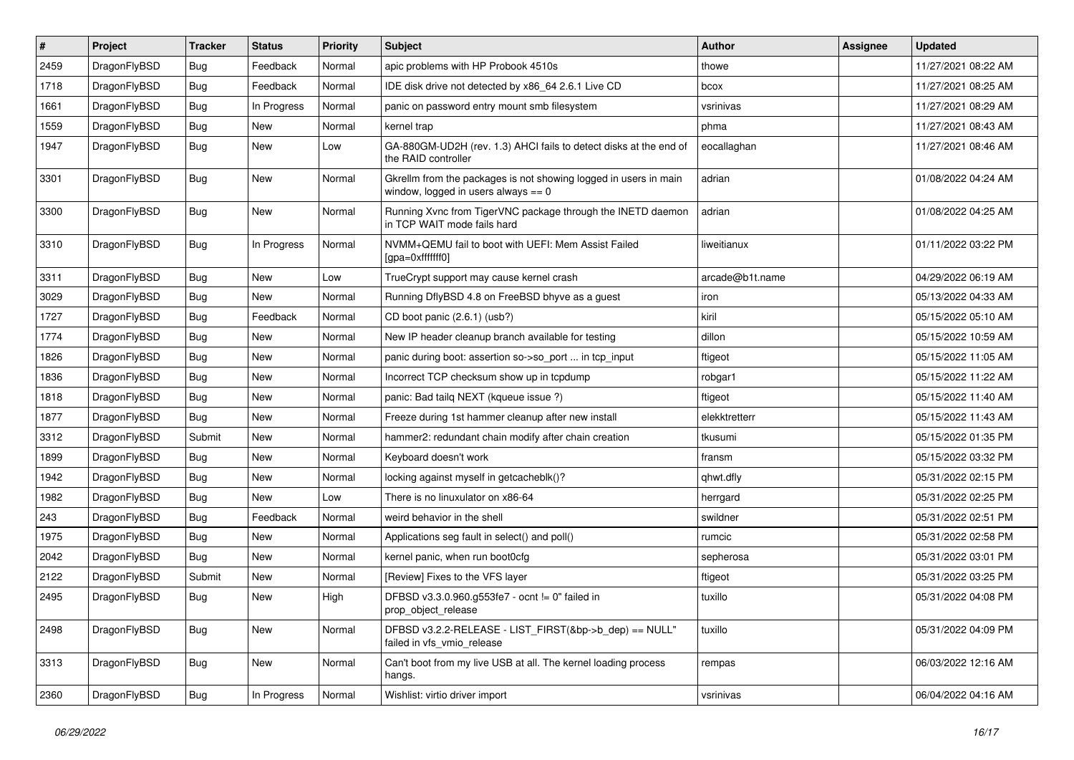| $\vert$ # | Project      | <b>Tracker</b> | <b>Status</b> | <b>Priority</b> | Subject                                                                                                   | Author          | <b>Assignee</b> | <b>Updated</b>      |
|-----------|--------------|----------------|---------------|-----------------|-----------------------------------------------------------------------------------------------------------|-----------------|-----------------|---------------------|
| 2459      | DragonFlyBSD | Bug            | Feedback      | Normal          | apic problems with HP Probook 4510s                                                                       | thowe           |                 | 11/27/2021 08:22 AM |
| 1718      | DragonFlyBSD | Bug            | Feedback      | Normal          | IDE disk drive not detected by x86_64 2.6.1 Live CD                                                       | bcox            |                 | 11/27/2021 08:25 AM |
| 1661      | DragonFlyBSD | <b>Bug</b>     | In Progress   | Normal          | panic on password entry mount smb filesystem                                                              | vsrinivas       |                 | 11/27/2021 08:29 AM |
| 1559      | DragonFlyBSD | Bug            | <b>New</b>    | Normal          | kernel trap                                                                                               | phma            |                 | 11/27/2021 08:43 AM |
| 1947      | DragonFlyBSD | <b>Bug</b>     | New           | Low             | GA-880GM-UD2H (rev. 1.3) AHCI fails to detect disks at the end of<br>the RAID controller                  | eocallaghan     |                 | 11/27/2021 08:46 AM |
| 3301      | DragonFlyBSD | <b>Bug</b>     | New           | Normal          | Gkrellm from the packages is not showing logged in users in main<br>window, logged in users always $== 0$ | adrian          |                 | 01/08/2022 04:24 AM |
| 3300      | DragonFlyBSD | Bug            | <b>New</b>    | Normal          | Running Xvnc from TigerVNC package through the INETD daemon<br>in TCP WAIT mode fails hard                | adrian          |                 | 01/08/2022 04:25 AM |
| 3310      | DragonFlyBSD | <b>Bug</b>     | In Progress   | Normal          | NVMM+QEMU fail to boot with UEFI: Mem Assist Failed<br>[gpa=0xfffffff0]                                   | liweitianux     |                 | 01/11/2022 03:22 PM |
| 3311      | DragonFlyBSD | <b>Bug</b>     | New           | Low             | TrueCrypt support may cause kernel crash                                                                  | arcade@b1t.name |                 | 04/29/2022 06:19 AM |
| 3029      | DragonFlyBSD | Bug            | New           | Normal          | Running DflyBSD 4.8 on FreeBSD bhyve as a guest                                                           | iron            |                 | 05/13/2022 04:33 AM |
| 1727      | DragonFlyBSD | Bug            | Feedback      | Normal          | CD boot panic (2.6.1) (usb?)                                                                              | kiril           |                 | 05/15/2022 05:10 AM |
| 1774      | DragonFlyBSD | <b>Bug</b>     | New           | Normal          | New IP header cleanup branch available for testing                                                        | dillon          |                 | 05/15/2022 10:59 AM |
| 1826      | DragonFlyBSD | Bug            | <b>New</b>    | Normal          | panic during boot: assertion so->so_port  in tcp_input                                                    | ftigeot         |                 | 05/15/2022 11:05 AM |
| 1836      | DragonFlyBSD | Bug            | <b>New</b>    | Normal          | Incorrect TCP checksum show up in tcpdump                                                                 | robgar1         |                 | 05/15/2022 11:22 AM |
| 1818      | DragonFlyBSD | Bug            | <b>New</b>    | Normal          | panic: Bad tailg NEXT (kgueue issue ?)                                                                    | ftigeot         |                 | 05/15/2022 11:40 AM |
| 1877      | DragonFlyBSD | Bug            | <b>New</b>    | Normal          | Freeze during 1st hammer cleanup after new install                                                        | elekktretterr   |                 | 05/15/2022 11:43 AM |
| 3312      | DragonFlyBSD | Submit         | New           | Normal          | hammer2: redundant chain modify after chain creation                                                      | tkusumi         |                 | 05/15/2022 01:35 PM |
| 1899      | DragonFlyBSD | Bug            | <b>New</b>    | Normal          | Keyboard doesn't work                                                                                     | fransm          |                 | 05/15/2022 03:32 PM |
| 1942      | DragonFlyBSD | Bug            | <b>New</b>    | Normal          | locking against myself in getcacheblk()?                                                                  | qhwt.dfly       |                 | 05/31/2022 02:15 PM |
| 1982      | DragonFlyBSD | <b>Bug</b>     | <b>New</b>    | Low             | There is no linuxulator on x86-64                                                                         | herrgard        |                 | 05/31/2022 02:25 PM |
| 243       | DragonFlyBSD | <b>Bug</b>     | Feedback      | Normal          | weird behavior in the shell                                                                               | swildner        |                 | 05/31/2022 02:51 PM |
| 1975      | DragonFlyBSD | Bug            | <b>New</b>    | Normal          | Applications seg fault in select() and poll()                                                             | rumcic          |                 | 05/31/2022 02:58 PM |
| 2042      | DragonFlyBSD | <b>Bug</b>     | New           | Normal          | kernel panic, when run boot0cfg                                                                           | sepherosa       |                 | 05/31/2022 03:01 PM |
| 2122      | DragonFlyBSD | Submit         | <b>New</b>    | Normal          | [Review] Fixes to the VFS layer                                                                           | ftigeot         |                 | 05/31/2022 03:25 PM |
| 2495      | DragonFlyBSD | <b>Bug</b>     | New           | High            | DFBSD v3.3.0.960.g553fe7 - ocnt != 0" failed in<br>prop_object_release                                    | tuxillo         |                 | 05/31/2022 04:08 PM |
| 2498      | DragonFlyBSD | Bug            | New           | Normal          | DFBSD v3.2.2-RELEASE - LIST_FIRST(&bp->b_dep) == NULL"<br>failed in vfs_vmio_release                      | tuxillo         |                 | 05/31/2022 04:09 PM |
| 3313      | DragonFlyBSD | <b>Bug</b>     | New           | Normal          | Can't boot from my live USB at all. The kernel loading process<br>hangs.                                  | rempas          |                 | 06/03/2022 12:16 AM |
| 2360      | DragonFlyBSD | Bug            | In Progress   | Normal          | Wishlist: virtio driver import                                                                            | vsrinivas       |                 | 06/04/2022 04:16 AM |